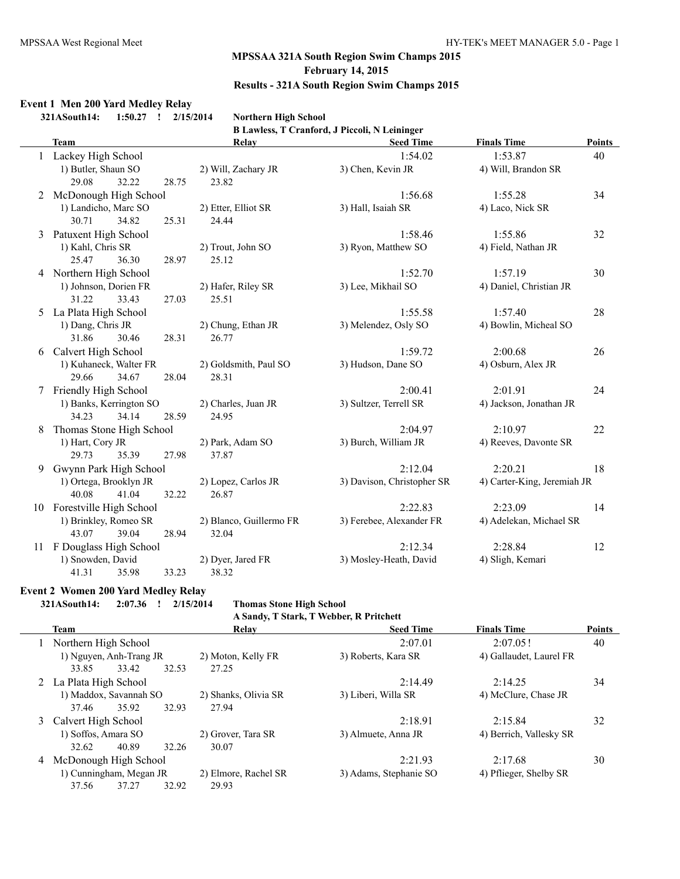## **Event 1 Men 200 Yard Medley Relay**

**321ASouth14: 1:50.27 ! 2/15/2014 Northern High School**

**B Lawless, T Cranford, J Piccoli, N Leininger**

|    | <b>Team</b>                |       | Relay                   | <b>Seed Time</b>           | <b>Finals Time</b>          | <b>Points</b> |
|----|----------------------------|-------|-------------------------|----------------------------|-----------------------------|---------------|
|    | Lackey High School         |       |                         | 1:54.02                    | 1:53.87                     | 40            |
|    | 1) Butler, Shaun SO        |       | 2) Will, Zachary JR     | 3) Chen, Kevin JR          | 4) Will, Brandon SR         |               |
|    | 32.22<br>29.08             | 28.75 | 23.82                   |                            |                             |               |
|    | McDonough High School      |       |                         | 1:56.68                    | 1:55.28                     | 34            |
|    | 1) Landicho, Marc SO       |       | 2) Etter, Elliot SR     | 3) Hall, Isaiah SR         | 4) Laco, Nick SR            |               |
|    | 30.71<br>34.82             | 25.31 | 24.44                   |                            |                             |               |
| 3  | Patuxent High School       |       |                         | 1:58.46                    | 1:55.86                     | 32            |
|    | 1) Kahl, Chris SR          |       | 2) Trout, John SO       | 3) Ryon, Matthew SO        | 4) Field, Nathan JR         |               |
|    | 25.47<br>36.30             | 28.97 | 25.12                   |                            |                             |               |
| 4  | Northern High School       |       |                         | 1:52.70                    | 1:57.19                     | 30            |
|    | 1) Johnson, Dorien FR      |       | 2) Hafer, Riley SR      | 3) Lee, Mikhail SO         | 4) Daniel, Christian JR     |               |
|    | 33.43<br>31.22             | 27.03 | 25.51                   |                            |                             |               |
| 5  | La Plata High School       |       |                         | 1:55.58                    | 1:57.40                     | 28            |
|    | 1) Dang, Chris JR          |       | 2) Chung, Ethan JR      | 3) Melendez, Osly SO       | 4) Bowlin, Micheal SO       |               |
|    | 31.86<br>30.46             | 28.31 | 26.77                   |                            |                             |               |
| 6  | Calvert High School        |       |                         | 1:59.72                    | 2:00.68                     | 26            |
|    | 1) Kuhaneck, Walter FR     |       | 2) Goldsmith, Paul SO   | 3) Hudson, Dane SO         | 4) Osburn, Alex JR          |               |
|    | 29.66<br>34.67             | 28.04 | 28.31                   |                            |                             |               |
| 7  | Friendly High School       |       |                         | 2:00.41                    | 2:01.91                     | 24            |
|    | 1) Banks, Kerrington SO    |       | 2) Charles, Juan JR     | 3) Sultzer, Terrell SR     | 4) Jackson, Jonathan JR     |               |
|    | 34.23<br>34.14             | 28.59 | 24.95                   |                            |                             |               |
| 8  | Thomas Stone High School   |       |                         | 2:04.97                    | 2:10.97                     | 22            |
|    | 1) Hart, Cory JR           |       | 2) Park, Adam SO        | 3) Burch, William JR       | 4) Reeves, Davonte SR       |               |
|    | 29.73<br>35.39             | 27.98 | 37.87                   |                            |                             |               |
| 9  | Gwynn Park High School     |       |                         | 2:12.04                    | 2:20.21                     | 18            |
|    | 1) Ortega, Brooklyn JR     |       | 2) Lopez, Carlos JR     | 3) Davison, Christopher SR | 4) Carter-King, Jeremiah JR |               |
|    | 40.08<br>41.04             | 32.22 | 26.87                   |                            |                             |               |
|    | 10 Forestville High School |       |                         | 2:22.83                    | 2:23.09                     | 14            |
|    | 1) Brinkley, Romeo SR      |       | 2) Blanco, Guillermo FR | 3) Ferebee, Alexander FR   | 4) Adelekan, Michael SR     |               |
|    | 43.07<br>39.04             | 28.94 | 32.04                   |                            |                             |               |
| 11 | F Douglass High School     |       |                         | 2:12.34                    | 2:28.84                     | 12            |
|    | 1) Snowden, David          |       | 2) Dyer, Jared FR       | 3) Mosley-Heath, David     | 4) Sligh, Kemari            |               |
|    | 41.31<br>35.98             | 33.23 | 38.32                   |                            |                             |               |

#### **Event 2 Women 200 Yard Medley Relay**

**321ASouth14: 2:07.36 ! 2/15/2014 Thomas Stone High School**

|   | A Sandy, T Stark, T Webber, R Pritchett |                      |                        |                         |               |  |  |  |  |
|---|-----------------------------------------|----------------------|------------------------|-------------------------|---------------|--|--|--|--|
|   | Team                                    | Relay                | <b>Seed Time</b>       | <b>Finals Time</b>      | <b>Points</b> |  |  |  |  |
|   | Northern High School                    |                      | 2.0701                 | 2:07.05!                | 40            |  |  |  |  |
|   | 1) Nguyen, Anh-Trang JR                 | 2) Moton, Kelly FR   | 3) Roberts, Kara SR    | 4) Gallaudet, Laurel FR |               |  |  |  |  |
|   | 33.85<br>33.42<br>32.53                 | 27.25                |                        |                         |               |  |  |  |  |
|   | 2 La Plata High School                  |                      | 2.1449                 | 2.1425                  | 34            |  |  |  |  |
|   | 1) Maddox, Savannah SO                  | 2) Shanks, Olivia SR | 3) Liberi, Willa SR    | 4) McClure, Chase JR    |               |  |  |  |  |
|   | 35.92<br>37.46<br>32.93                 | 27.94                |                        |                         |               |  |  |  |  |
| 3 | Calvert High School                     |                      | 2.1891                 | 2.15.84                 | 32            |  |  |  |  |
|   | 1) Soffos, Amara SO                     | 2) Grover, Tara SR   | 3) Almuete, Anna JR    | 4) Berrich, Vallesky SR |               |  |  |  |  |
|   | 40.89<br>32.26<br>32.62                 | 30.07                |                        |                         |               |  |  |  |  |
|   | 4 McDonough High School                 |                      | 2.2193                 | 2.1768                  | 30            |  |  |  |  |
|   | 1) Cunningham, Megan JR                 | 2) Elmore, Rachel SR | 3) Adams, Stephanie SO | 4) Pflieger, Shelby SR  |               |  |  |  |  |
|   | 32.92<br>37.56<br>37.27                 | 29.93                |                        |                         |               |  |  |  |  |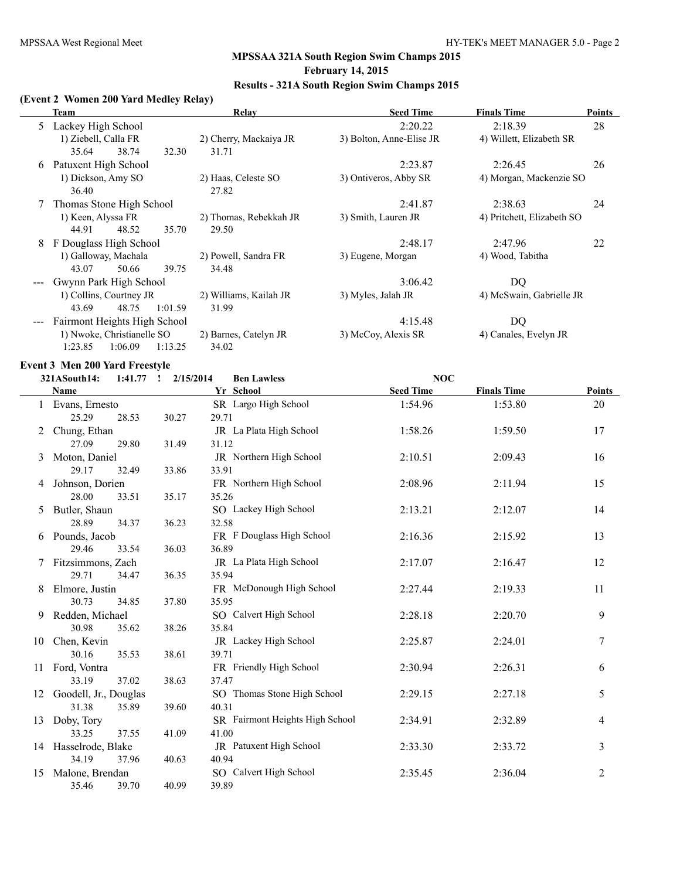# **(Event 2 Women 200 Yard Medley Relay)**

|   | <b>Team</b>                            | Relay                                    | <b>Seed Time</b>         | <b>Finals Time</b>         | <b>Points</b> |
|---|----------------------------------------|------------------------------------------|--------------------------|----------------------------|---------------|
| 5 | Lackey High School                     |                                          | 2:20.22                  | 2:18.39                    | 28            |
|   | 1) Ziebell, Calla FR<br>35.64<br>38.74 | 2) Cherry, Mackaiya JR<br>32.30<br>31.71 | 3) Bolton, Anne-Elise JR | 4) Willett, Elizabeth SR   |               |
| 6 | Patuxent High School                   |                                          | 2:23.87                  | 2:26.45                    | 26            |
|   | 1) Dickson, Amy SO<br>36.40            | 2) Haas, Celeste SO<br>27.82             | 3) Ontiveros, Abby SR    | 4) Morgan, Mackenzie SO    |               |
|   | Thomas Stone High School               |                                          | 2:41.87                  | 2:38.63                    | 24            |
|   | 1) Keen, Alyssa FR<br>44.91<br>48.52   | 2) Thomas, Rebekkah JR<br>35.70<br>29.50 | 3) Smith, Lauren JR      | 4) Pritchett, Elizabeth SO |               |
| 8 | F Douglass High School                 |                                          | 2:48.17                  | 2:47.96                    | 22            |
|   | 1) Galloway, Machala                   | 2) Powell, Sandra FR                     | 3) Eugene, Morgan        | 4) Wood, Tabitha           |               |
|   | 43.07<br>50.66                         | 34.48<br>39.75                           |                          |                            |               |
|   | Gwynn Park High School                 |                                          | 3:06.42                  | DQ                         |               |
|   | 1) Collins, Courtney JR                | 2) Williams, Kailah JR                   | 3) Myles, Jalah JR       | 4) McSwain, Gabrielle JR   |               |
|   | 43.69<br>48.75                         | 1:01.59<br>31.99                         |                          |                            |               |
|   | Fairmont Heights High School           |                                          | 4:15.48                  | DQ                         |               |
|   | 1) Nwoke, Christianelle SO             | 2) Barnes, Catelyn JR                    | 3) McCoy, Alexis SR      | 4) Canales, Evelyn JR      |               |
|   | 1:23.85<br>1:06.09                     | 1:13.25<br>34.02                         |                          |                            |               |

#### **Event 3 Men 200 Yard Freestyle**

#### **321ASouth14: 1:41.77 ! 2/15/2014 Ben Lawless NOC**

|    | <b>Name</b>           |       | Yr School                       | <b>Seed Time</b> | <b>Finals Time</b> | <b>Points</b> |
|----|-----------------------|-------|---------------------------------|------------------|--------------------|---------------|
|    | Evans, Ernesto        |       | SR Largo High School            | 1:54.96          | 1:53.80            | 20            |
|    | 25.29<br>28.53        | 30.27 | 29.71                           |                  |                    |               |
| 2  | Chung, Ethan          |       | JR La Plata High School         | 1:58.26          | 1:59.50            | 17            |
|    | 27.09<br>29.80        | 31.49 | 31.12                           |                  |                    |               |
| 3  | Moton, Daniel         |       | JR Northern High School         | 2:10.51          | 2:09.43            | 16            |
|    | 29.17<br>32.49        | 33.86 | 33.91                           |                  |                    |               |
| 4  | Johnson, Dorien       |       | FR Northern High School         | 2:08.96          | 2:11.94            | 15            |
|    | 28.00<br>33.51        | 35.17 | 35.26                           |                  |                    |               |
| 5. | Butler, Shaun         |       | SO Lackey High School           | 2:13.21          | 2:12.07            | 14            |
|    | 28.89<br>34.37        | 36.23 | 32.58                           |                  |                    |               |
| 6  | Pounds, Jacob         |       | FR F Douglass High School       | 2:16.36          | 2:15.92            | 13            |
|    | 29.46<br>33.54        | 36.03 | 36.89                           |                  |                    |               |
|    | Fitzsimmons, Zach     |       | JR La Plata High School         | 2:17.07          | 2:16.47            | 12            |
|    | 29.71<br>34.47        | 36.35 | 35.94                           |                  |                    |               |
| 8  | Elmore, Justin        |       | FR McDonough High School        | 2:27.44          | 2:19.33            | 11            |
|    | 30.73<br>34.85        | 37.80 | 35.95                           |                  |                    |               |
| 9  | Redden, Michael       |       | SO Calvert High School          | 2:28.18          | 2:20.70            | 9             |
|    | 30.98<br>35.62        | 38.26 | 35.84                           |                  |                    |               |
| 10 | Chen, Kevin           |       | JR Lackey High School           | 2:25.87          | 2:24.01            | 7             |
|    | 30.16<br>35.53        | 38.61 | 39.71                           |                  |                    |               |
| 11 | Ford, Vontra          |       | FR Friendly High School         | 2:30.94          | 2:26.31            | 6             |
|    | 33.19<br>37.02        | 38.63 | 37.47                           |                  |                    |               |
| 12 | Goodell, Jr., Douglas |       | SO Thomas Stone High School     | 2:29.15          | 2:27.18            | 5             |
|    | 31.38<br>35.89        | 39.60 | 40.31                           |                  |                    |               |
| 13 | Doby, Tory            |       | SR Fairmont Heights High School | 2:34.91          | 2:32.89            | 4             |
|    | 33.25<br>37.55        | 41.09 | 41.00                           |                  |                    |               |
| 14 | Hasselrode, Blake     |       | JR Patuxent High School         | 2:33.30          | 2:33.72            | 3             |
|    | 34.19<br>37.96        | 40.63 | 40.94                           |                  |                    |               |
| 15 | Malone, Brendan       |       | SO Calvert High School          | 2:35.45          | 2:36.04            | 2             |
|    | 35.46<br>39.70        | 40.99 | 39.89                           |                  |                    |               |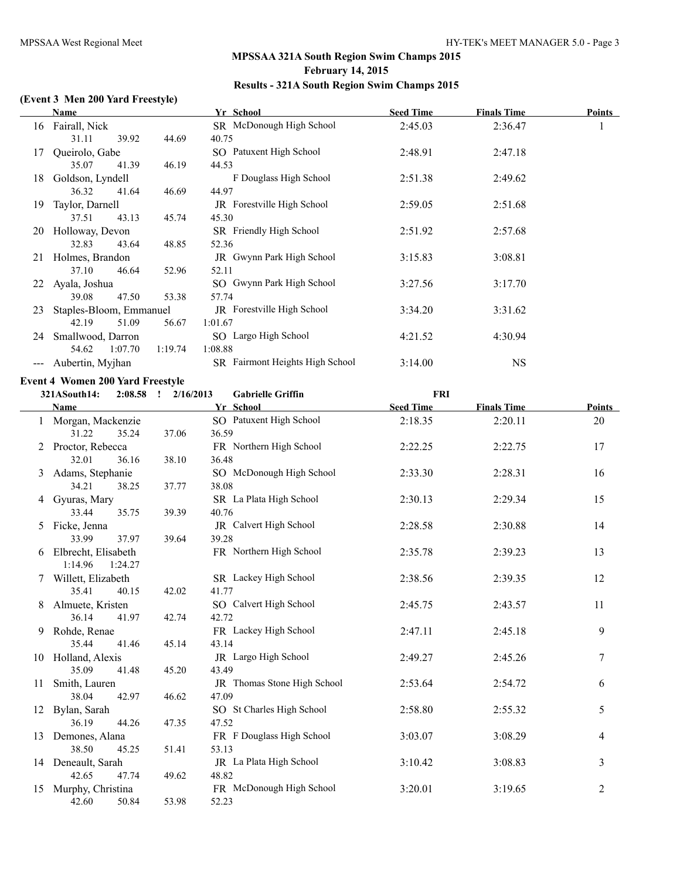# **(Event 3 Men 200 Yard Freestyle)**

|    | Name                                    |           | Yr School                       | <b>Seed Time</b> | <b>Finals Time</b> | <b>Points</b> |
|----|-----------------------------------------|-----------|---------------------------------|------------------|--------------------|---------------|
|    | 16 Fairall, Nick                        |           | SR McDonough High School        | 2:45.03          | 2:36.47            | 1             |
|    | 31.11<br>39.92                          | 44.69     | 40.75                           |                  |                    |               |
| 17 | Queirolo, Gabe                          |           | SO Patuxent High School         | 2:48.91          | 2:47.18            |               |
|    | 35.07<br>41.39                          | 46.19     | 44.53                           |                  |                    |               |
| 18 | Goldson, Lyndell                        |           | F Douglass High School          | 2:51.38          | 2:49.62            |               |
|    | 36.32<br>41.64                          | 46.69     | 44.97                           |                  |                    |               |
| 19 | Taylor, Darnell                         |           | JR Forestville High School      | 2:59.05          | 2:51.68            |               |
|    | 43.13<br>37.51                          | 45.74     | 45.30                           |                  |                    |               |
| 20 | Holloway, Devon                         |           | SR Friendly High School         | 2:51.92          | 2:57.68            |               |
|    | 32.83<br>43.64                          | 48.85     | 52.36                           |                  |                    |               |
|    | 21 Holmes, Brandon                      |           | JR Gwynn Park High School       | 3:15.83          | 3:08.81            |               |
|    | 37.10<br>46.64                          | 52.96     | 52.11                           |                  |                    |               |
| 22 | Ayala, Joshua                           |           | SO Gwynn Park High School       | 3:27.56          | 3:17.70            |               |
|    | 47.50<br>39.08                          | 53.38     | 57.74                           |                  |                    |               |
| 23 | Staples-Bloom, Emmanuel                 |           | JR Forestville High School      | 3:34.20          | 3:31.62            |               |
|    | 51.09<br>42.19                          | 56.67     | 1:01.67                         |                  |                    |               |
|    | 24 Smallwood, Darron                    |           | SO Largo High School            | 4:21.52          | 4:30.94            |               |
|    | 54.62<br>1:07.70                        | 1:19.74   | 1:08.88                         |                  |                    |               |
|    | Aubertin, Myjhan                        |           | SR Fairmont Heights High School | 3:14.00          | <b>NS</b>          |               |
|    | <b>Event 4 Women 200 Yard Freestyle</b> |           |                                 |                  |                    |               |
|    | 321ASouth14:<br>$2:08.58$ !             | 2/16/2013 | <b>Gabrielle Griffin</b>        | <b>FRI</b>       |                    |               |
|    | <b>Name</b>                             |           | Yr School                       | <b>Seed Time</b> | <b>Finals Time</b> | Points        |
|    | Morgan, Mackenzie                       |           | SO Patuxent High School         | 2:18.35          | 2:20.11            | 20            |
|    | 31.22<br>35.24                          | 37.06     | 36.59                           |                  |                    |               |
|    |                                         |           |                                 |                  |                    |               |

|    | 31.22               | 35.24   | 37.06 | 36.59                       |         |         |                |
|----|---------------------|---------|-------|-----------------------------|---------|---------|----------------|
| 2  | Proctor, Rebecca    |         |       | FR Northern High School     | 2:22.25 | 2:22.75 | 17             |
|    | 32.01               | 36.16   | 38.10 | 36.48                       |         |         |                |
| 3  | Adams, Stephanie    |         |       | SO McDonough High School    | 2:33.30 | 2:28.31 | 16             |
|    | 34.21               | 38.25   | 37.77 | 38.08                       |         |         |                |
| 4  | Gyuras, Mary        |         |       | SR La Plata High School     | 2:30.13 | 2:29.34 | 15             |
|    | 33.44               | 35.75   | 39.39 | 40.76                       |         |         |                |
| 5. | Ficke, Jenna        |         |       | JR Calvert High School      | 2:28.58 | 2:30.88 | 14             |
|    | 33.99               | 37.97   | 39.64 | 39.28                       |         |         |                |
|    | Elbrecht, Elisabeth |         |       | FR Northern High School     | 2:35.78 | 2:39.23 | 13             |
|    | 1:14.96             | 1:24.27 |       |                             |         |         |                |
| 7  | Willett, Elizabeth  |         |       | SR Lackey High School       | 2:38.56 | 2:39.35 | 12             |
|    | 35.41               | 40.15   | 42.02 | 41.77                       |         |         |                |
| 8  | Almuete, Kristen    |         |       | SO Calvert High School      | 2:45.75 | 2:43.57 | 11             |
|    | 36.14               | 41.97   | 42.74 | 42.72                       |         |         |                |
| 9. | Rohde, Renae        |         |       | FR Lackey High School       | 2:47.11 | 2:45.18 | 9              |
|    | 35.44               | 41.46   | 45.14 | 43.14                       |         |         |                |
| 10 | Holland, Alexis     |         |       | JR Largo High School        | 2:49.27 | 2:45.26 | 7              |
|    | 35.09               | 41.48   | 45.20 | 43.49                       |         |         |                |
| 11 | Smith, Lauren       |         |       | JR Thomas Stone High School | 2:53.64 | 2:54.72 | 6              |
|    | 38.04               | 42.97   | 46.62 | 47.09                       |         |         |                |
| 12 | Bylan, Sarah        |         |       | SO St Charles High School   | 2:58.80 | 2:55.32 | 5              |
|    | 36.19               | 44.26   | 47.35 | 47.52                       |         |         |                |
| 13 | Demones, Alana      |         |       | FR F Douglass High School   | 3:03.07 | 3:08.29 | 4              |
|    | 38.50               | 45.25   | 51.41 | 53.13                       |         |         |                |
|    | 14 Deneault, Sarah  |         |       | JR La Plata High School     | 3:10.42 | 3:08.83 | 3              |
|    | 42.65               | 47.74   | 49.62 | 48.82                       |         |         |                |
| 15 | Murphy, Christina   |         |       | FR McDonough High School    | 3:20.01 | 3:19.65 | $\overline{2}$ |
|    | 42.60               | 50.84   | 53.98 | 52.23                       |         |         |                |
|    |                     |         |       |                             |         |         |                |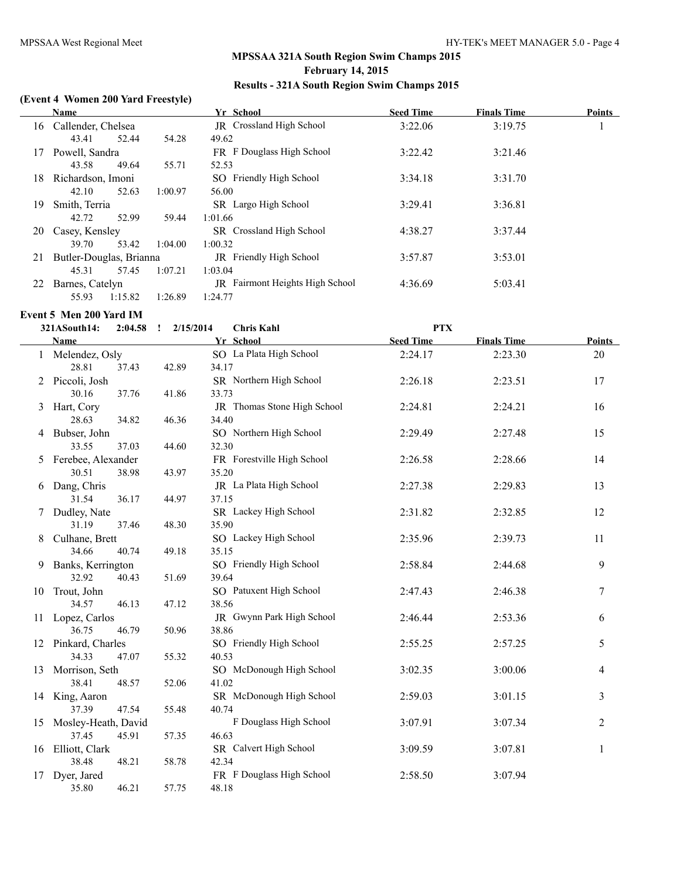#### **(Event 4 Women 200 Yard Freestyle)**

|    | <b>Name</b>             |         | Yr School                              | <b>Seed Time</b> | <b>Finals Time</b> | <b>Points</b> |
|----|-------------------------|---------|----------------------------------------|------------------|--------------------|---------------|
| 16 | Callender, Chelsea      |         | JR Crossland High School               | 3:22.06          | 3:19.75            |               |
|    | 43.41<br>52.44          | 54.28   | 49.62                                  |                  |                    |               |
| 17 | Powell, Sandra          |         | FR F Douglass High School              | 3:22.42          | 3:21.46            |               |
|    | 43.58<br>49.64          | 55.71   | 52.53                                  |                  |                    |               |
| 18 | Richardson, Imoni       |         | SO Friendly High School                | 3:34.18          | 3:31.70            |               |
|    | 42.10<br>52.63          | 1:00.97 | 56.00                                  |                  |                    |               |
| 19 | Smith, Terria           |         | SR Largo High School                   | 3:29.41          | 3:36.81            |               |
|    | 42.72<br>52.99          | 59.44   | 1:01.66                                |                  |                    |               |
| 20 | Casey, Kensley          |         | SR Crossland High School               | 4:38.27          | 3:37.44            |               |
|    | 39.70<br>53.42          | 1:04.00 | 1:00.32                                |                  |                    |               |
| 21 | Butler-Douglas, Brianna |         | JR Friendly High School                | 3:57.87          | 3:53.01            |               |
|    | 57.45<br>45.31          | 1:07.21 | 1:03.04                                |                  |                    |               |
| 22 | Barnes, Catelyn         |         | <b>IR</b> Fairmont Heights High School | 4:36.69          | 5:03.41            |               |
|    | 55.93<br>1:15.82        | 1:26.89 | 1:24.77                                |                  |                    |               |

#### **Event 5 Men 200 Yard IM**

|    | 321ASouth14:         | $2:04.58$ ! | 2/15/2014 | <b>Chris Kahl</b>           | <b>PTX</b>       |                    |                |
|----|----------------------|-------------|-----------|-----------------------------|------------------|--------------------|----------------|
|    | Name                 |             |           | Yr School                   | <b>Seed Time</b> | <b>Finals Time</b> | <b>Points</b>  |
|    | 1 Melendez, Osly     |             |           | SO La Plata High School     | 2:24.17          | 2:23.30            | 20             |
|    | 28.81                | 37.43       | 42.89     | 34.17                       |                  |                    |                |
|    | 2 Piccoli, Josh      |             |           | SR Northern High School     | 2:26.18          | 2:23.51            | 17             |
|    | 30.16                | 37.76       | 41.86     | 33.73                       |                  |                    |                |
|    | 3 Hart, Cory         |             |           | JR Thomas Stone High School | 2:24.81          | 2:24.21            | 16             |
|    | 28.63                | 34.82       | 46.36     | 34.40                       |                  |                    |                |
|    | 4 Bubser, John       |             |           | SO Northern High School     | 2:29.49          | 2:27.48            | 15             |
|    | 33.55                | 37.03       | 44.60     | 32.30                       |                  |                    |                |
|    | 5 Ferebee, Alexander |             |           | FR Forestville High School  | 2:26.58          | 2:28.66            | 14             |
|    | 30.51                | 38.98       | 43.97     | 35.20                       |                  |                    |                |
|    | 6 Dang, Chris        |             |           | JR La Plata High School     | 2:27.38          | 2:29.83            | 13             |
|    | 31.54                | 36.17       | 44.97     | 37.15                       |                  |                    |                |
|    | 7 Dudley, Nate       |             |           | SR Lackey High School       | 2:31.82          | 2:32.85            | 12             |
|    | 31.19                | 37.46       | 48.30     | 35.90                       |                  |                    |                |
|    | 8 Culhane, Brett     |             |           | SO Lackey High School       | 2:35.96          | 2:39.73            | 11             |
|    | 34.66                | 40.74       | 49.18     | 35.15                       |                  |                    |                |
| 9  | Banks, Kerrington    |             |           | SO Friendly High School     | 2:58.84          | 2:44.68            | 9              |
|    | 32.92                | 40.43       | 51.69     | 39.64                       |                  |                    |                |
| 10 | Trout, John          |             |           | SO Patuxent High School     | 2:47.43          | 2:46.38            | 7              |
|    | 34.57                | 46.13       | 47.12     | 38.56                       |                  |                    |                |
| 11 | Lopez, Carlos        |             |           | JR Gwynn Park High School   | 2:46.44          | 2:53.36            | 6              |
|    | 36.75                | 46.79       | 50.96     | 38.86                       |                  |                    |                |
| 12 | Pinkard, Charles     |             |           | SO Friendly High School     | 2:55.25          | 2:57.25            | 5              |
|    | 34.33                | 47.07       | 55.32     | 40.53                       |                  |                    |                |
| 13 | Morrison, Seth       |             |           | SO McDonough High School    | 3:02.35          | 3:00.06            | 4              |
|    | 38.41                | 48.57       | 52.06     | 41.02                       |                  |                    |                |
| 14 | King, Aaron          |             |           | SR McDonough High School    | 2:59.03          | 3:01.15            | 3              |
|    | 37.39                | 47.54       | 55.48     | 40.74                       |                  |                    |                |
| 15 | Mosley-Heath, David  |             |           | F Douglass High School      | 3:07.91          | 3:07.34            | $\overline{c}$ |
|    | 37.45                | 45.91       | 57.35     | 46.63                       |                  |                    |                |
| 16 | Elliott, Clark       |             |           | SR Calvert High School      | 3:09.59          | 3:07.81            | 1              |
|    | 38.48                | 48.21       | 58.78     | 42.34                       |                  |                    |                |
| 17 | Dyer, Jared          |             |           | FR F Douglass High School   | 2:58.50          | 3:07.94            |                |
|    | 35.80                | 46.21       | 57.75     | 48.18                       |                  |                    |                |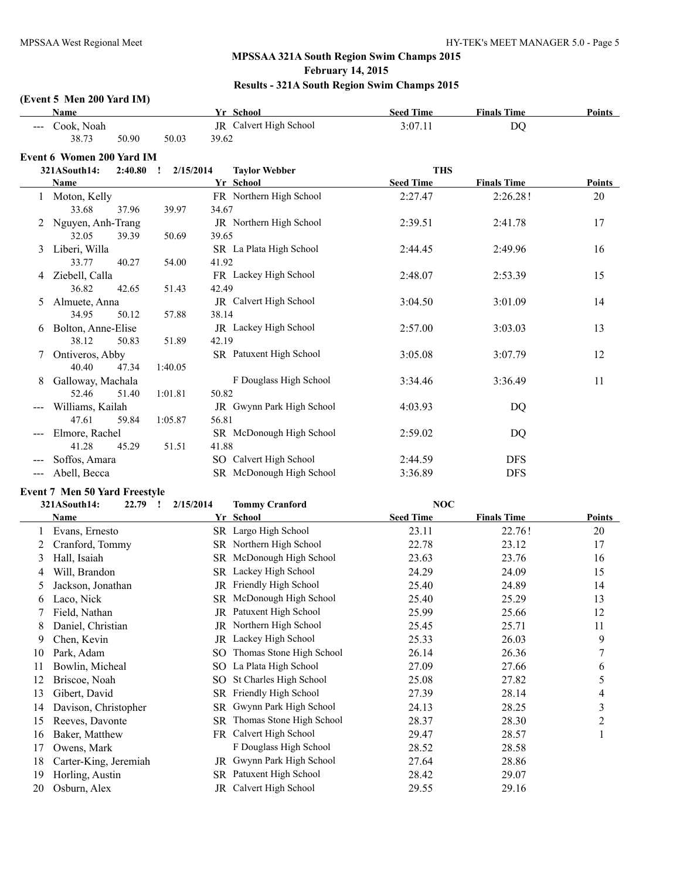## **(Event 5 Men 200 Yard IM)**

|              | Name                                 |                      |       | Yr School                   | <b>Seed Time</b> | <b>Finals Time</b> | <b>Points</b>  |
|--------------|--------------------------------------|----------------------|-------|-----------------------------|------------------|--------------------|----------------|
|              | Cook, Noah                           |                      |       | JR Calvert High School      | 3:07.11          | <b>DQ</b>          |                |
|              | 38.73<br>50.90                       | 50.03                | 39.62 |                             |                  |                    |                |
|              | <b>Event 6 Women 200 Yard IM</b>     |                      |       |                             |                  |                    |                |
|              | 321ASouth14:<br>2:40.80              | 2/15/2014<br>$\cdot$ |       | <b>Taylor Webber</b>        | <b>THS</b>       |                    |                |
|              | Name                                 |                      |       | Yr School                   | <b>Seed Time</b> | <b>Finals Time</b> | <b>Points</b>  |
|              | Moton, Kelly                         |                      |       | FR Northern High School     | 2:27.47          | 2:26.28!           | 20             |
|              | 33.68<br>37.96                       | 39.97                | 34.67 |                             |                  |                    |                |
| 2            | Nguyen, Anh-Trang                    |                      |       | JR Northern High School     | 2:39.51          | 2:41.78            | 17             |
|              | 32.05<br>39.39                       | 50.69                | 39.65 |                             |                  |                    |                |
| 3            | Liberi, Willa                        |                      |       | SR La Plata High School     | 2:44.45          | 2:49.96            | 16             |
|              | 33.77<br>40.27                       | 54.00                | 41.92 |                             |                  |                    |                |
| 4            | Ziebell, Calla                       |                      |       | FR Lackey High School       | 2:48.07          | 2:53.39            | 15             |
|              | 36.82<br>42.65                       | 51.43                | 42.49 |                             |                  |                    |                |
| 5            | Almuete, Anna                        |                      |       | JR Calvert High School      | 3:04.50          | 3:01.09            | 14             |
|              | 34.95<br>50.12                       | 57.88                | 38.14 |                             |                  |                    |                |
| 6            | Bolton, Anne-Elise                   |                      |       | JR Lackey High School       | 2:57.00          | 3:03.03            | 13             |
|              | 38.12<br>50.83                       | 51.89                | 42.19 |                             |                  |                    |                |
| 7            | Ontiveros, Abby                      |                      |       | SR Patuxent High School     | 3:05.08          | 3:07.79            | 12             |
|              | 40.40<br>47.34                       | 1:40.05              |       |                             |                  |                    |                |
| 8            | Galloway, Machala                    |                      |       | F Douglass High School      | 3:34.46          | 3:36.49            | 11             |
|              | 52.46<br>51.40                       | 1:01.81              | 50.82 |                             |                  |                    |                |
|              | Williams, Kailah                     |                      |       | JR Gwynn Park High School   | 4:03.93          | DQ                 |                |
|              | 47.61<br>59.84                       | 1:05.87              | 56.81 |                             |                  |                    |                |
|              | Elmore, Rachel                       |                      |       | SR McDonough High School    | 2:59.02          | DQ                 |                |
|              | 41.28<br>45.29                       | 51.51                | 41.88 |                             |                  |                    |                |
|              | Soffos, Amara                        |                      |       | SO Calvert High School      | 2:44.59          | <b>DFS</b>         |                |
| ---          | Abell, Becca                         |                      |       | SR McDonough High School    | 3:36.89          | <b>DFS</b>         |                |
|              | <b>Event 7 Men 50 Yard Freestyle</b> |                      |       |                             |                  |                    |                |
|              | 321ASouth14:<br>$22.79$ !            | 2/15/2014            |       | <b>Tommy Cranford</b>       | <b>NOC</b>       |                    |                |
|              | Name                                 |                      |       | Yr School                   | <b>Seed Time</b> | <b>Finals Time</b> | <b>Points</b>  |
| $\mathbf{1}$ | Evans, Ernesto                       |                      |       | SR Largo High School        | 23.11            | 22.76!             | 20             |
| 2            | Cranford, Tommy                      |                      |       | SR Northern High School     | 22.78            | 23.12              | 17             |
| 3            | Hall, Isaiah                         |                      |       | SR McDonough High School    | 23.63            | 23.76              | 16             |
| 4            | Will, Brandon                        |                      |       | SR Lackey High School       | 24.29            | 24.09              | 15             |
| 5            | Jackson, Jonathan                    |                      |       | JR Friendly High School     | 25.40            | 24.89              | 14             |
| 6            | Laco, Nick                           |                      |       | SR McDonough High School    | 25.40            | 25.29              | 13             |
| 7            | Field, Nathan                        |                      |       | JR Patuxent High School     | 25.99            | 25.66              | 12             |
| 8            | Daniel, Christian                    |                      |       | JR Northern High School     | 25.45            | 25.71              | 11             |
| 9            | Chen, Kevin                          |                      |       | JR Lackey High School       | 25.33            | 26.03              | 9              |
| 10           | Park, Adam                           |                      | SO    | Thomas Stone High School    | 26.14            | 26.36              | 7              |
| 11           | Bowlin, Micheal                      |                      |       | SO La Plata High School     | 27.09            | 27.66              | 6              |
| 12           | Briscoe, Noah                        |                      |       | SO St Charles High School   | 25.08            | 27.82              | 5              |
| 13           | Gibert, David                        |                      |       | SR Friendly High School     | 27.39            | 28.14              | 4              |
| 14           | Davison, Christopher                 |                      |       | SR Gwynn Park High School   | 24.13            | 28.25              | $\mathfrak{Z}$ |
| 15           | Reeves, Davonte                      |                      |       | SR Thomas Stone High School | 28.37            | 28.30              | $\overline{c}$ |
| 16           | Baker, Matthew                       |                      |       | FR Calvert High School      | 29.47            | 28.57              | $\mathbf{1}$   |
| 17           | Owens, Mark                          |                      |       | F Douglass High School      | 28.52            | 28.58              |                |
| 18           | Carter-King, Jeremiah                |                      |       | JR Gwynn Park High School   | 27.64            | 28.86              |                |
| 19           | Horling, Austin                      |                      |       | SR Patuxent High School     | 28.42            | 29.07              |                |

20 Osburn, Alex JR Calvert High School 29.55 29.16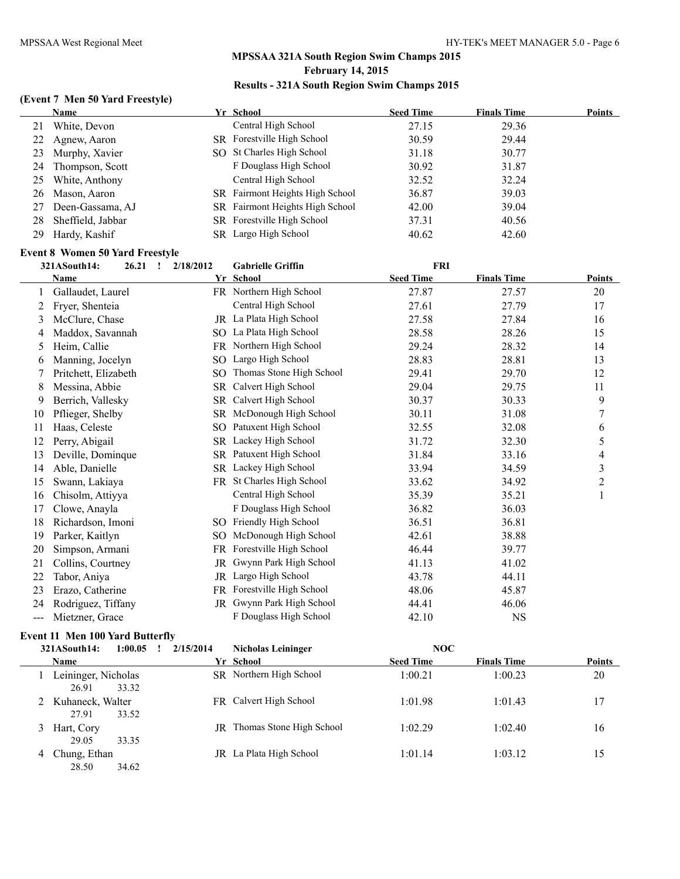#### **(Event 7 Men 50 Yard Freestyle)**

|     | Name              | Yr School                              | <b>Seed Time</b> | <b>Finals Time</b> | <b>Points</b> |
|-----|-------------------|----------------------------------------|------------------|--------------------|---------------|
| 21  | White, Devon      | Central High School                    | 27.15            | 29.36              |               |
| 22  | Agnew, Aaron      | SR Forestville High School             | 30.59            | 29.44              |               |
| 23  | Murphy, Xavier    | SO St Charles High School              | 31.18            | 30.77              |               |
| 24. | Thompson, Scott   | F Douglass High School                 | 30.92            | 31.87              |               |
| 25  | White, Anthony    | Central High School                    | 32.52            | 32.24              |               |
|     | 26 Mason, Aaron   | SR Fairmont Heights High School        | 36.87            | 39.03              |               |
| 27  | Deen-Gassama, AJ  | <b>SR</b> Fairmont Heights High School | 42.00            | 39.04              |               |
| 28  | Sheffield, Jabbar | SR Forestville High School             | 37.31            | 40.56              |               |
|     | 29 Hardy, Kashif  | SR Largo High School                   | 40.62            | 42.60              |               |

# **Event 8 Women 50 Yard Freestyle**<br>2014 Santh 14: 2021 - 202202212

|     | 321ASouth14:<br>26.21<br>$\mathbf{r}$ | 2/18/2012 | <b>FRI</b><br><b>Gabrielle Griffin</b> |                  |                    |               |
|-----|---------------------------------------|-----------|----------------------------------------|------------------|--------------------|---------------|
|     | Name                                  |           | Yr School                              | <b>Seed Time</b> | <b>Finals Time</b> | <b>Points</b> |
|     | Gallaudet, Laurel                     |           | FR Northern High School                | 27.87            | 27.57              | 20            |
| 2   | Fryer, Shenteia                       |           | Central High School                    | 27.61            | 27.79              | 17            |
| 3   | McClure, Chase                        |           | JR La Plata High School                | 27.58            | 27.84              | 16            |
| 4   | Maddox, Savannah                      | SO.       | La Plata High School                   | 28.58            | 28.26              | 15            |
| 5.  | Heim, Callie                          | FR.       | Northern High School                   | 29.24            | 28.32              | 14            |
| 6   | Manning, Jocelyn                      | SO.       | Largo High School                      | 28.83            | 28.81              | 13            |
|     | Pritchett, Elizabeth                  | SO.       | Thomas Stone High School               | 29.41            | 29.70              | 12            |
| 8   | Messina, Abbie                        | SR.       | Calvert High School                    | 29.04            | 29.75              | 11            |
| 9   | Berrich, Vallesky                     | <b>SR</b> | Calvert High School                    | 30.37            | 30.33              | 9             |
| 10  | Pflieger, Shelby                      |           | SR McDonough High School               | 30.11            | 31.08              | 7             |
| 11  | Haas, Celeste                         | SO.       | Patuxent High School                   | 32.55            | 32.08              | 6             |
| 12  | Perry, Abigail                        | SR.       | Lackey High School                     | 31.72            | 32.30              | 5             |
| 13  | Deville, Dominque                     |           | SR Patuxent High School                | 31.84            | 33.16              | 4             |
| 14  | Able, Danielle                        |           | SR Lackey High School                  | 33.94            | 34.59              | 3             |
| 15  | Swann, Lakiaya                        |           | FR St Charles High School              | 33.62            | 34.92              | $\mathbf{2}$  |
| 16  | Chisolm, Attiyya                      |           | Central High School                    | 35.39            | 35.21              | 1             |
| 17  | Clowe, Anayla                         |           | F Douglass High School                 | 36.82            | 36.03              |               |
| 18  | Richardson, Imoni                     |           | SO Friendly High School                | 36.51            | 36.81              |               |
| 19  | Parker, Kaitlyn                       | SO.       | McDonough High School                  | 42.61            | 38.88              |               |
| 20  | Simpson, Armani                       | FR        | Forestville High School                | 46.44            | 39.77              |               |
| 21  | Collins, Courtney                     | <b>JR</b> | Gwynn Park High School                 | 41.13            | 41.02              |               |
| 22  | Tabor, Aniya                          | <b>JR</b> | Largo High School                      | 43.78            | 44.11              |               |
| 23  | Erazo, Catherine                      | FR.       | Forestville High School                | 48.06            | 45.87              |               |
| 24  | Rodriguez, Tiffany                    | JR        | Gwynn Park High School                 | 44.41            | 46.06              |               |
| --- | Mietzner, Grace                       |           | F Douglass High School                 | 42.10            | $_{\rm NS}$        |               |

## **Event 11 Men 100 Yard Butterfly**

|   | 321ASouth14:                 | 1:00.05 | 2/15/2014 | <b>Nicholas Leininger</b> | NOC              |                    |               |
|---|------------------------------|---------|-----------|---------------------------|------------------|--------------------|---------------|
|   | <b>Name</b>                  |         |           | Yr School                 | <b>Seed Time</b> | <b>Finals Time</b> | <b>Points</b> |
|   | Leininger, Nicholas<br>26.91 | 33.32   |           | SR Northern High School   | 1:00.21          | 1:00.23            | 20            |
|   | Kuhaneck, Walter<br>27.91    | 33.52   |           | FR Calvert High School    | 1:01.98          | 1:01.43            | 17            |
|   | Hart, Cory<br>29.05          | 33.35   | JR        | Thomas Stone High School  | 1.0229           | 1.0240             | 16            |
| 4 | Chung, Ethan<br>28.50        | 34.62   |           | IR La Plata High School   | 1:01.14          | 1:03.12            | 15            |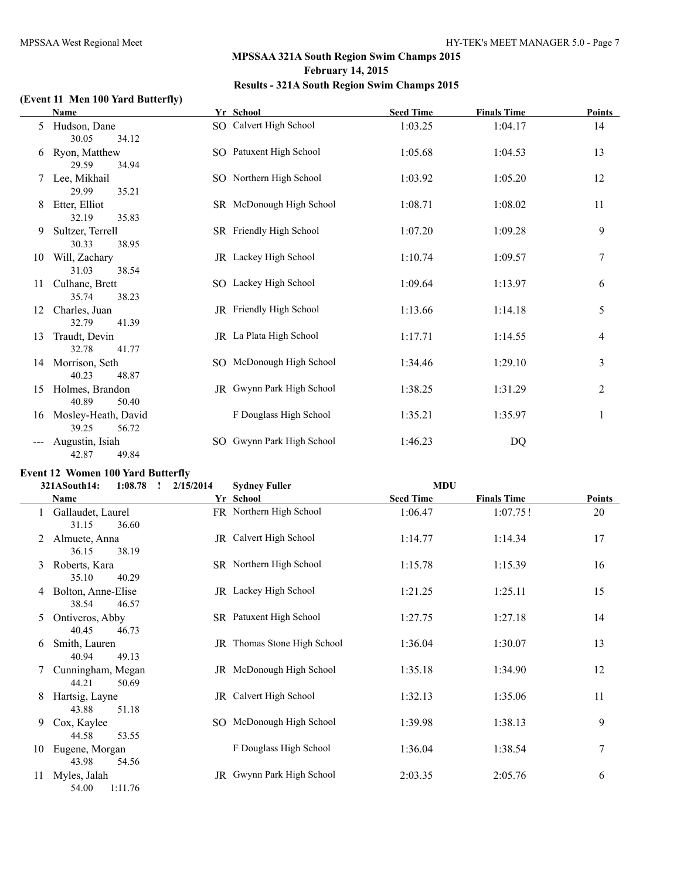## **(Event 11 Men 100 Yard Butterfly)**

|    | <b>Name</b>                           | Yr School                 | <b>Seed Time</b> | <b>Finals Time</b> | <b>Points</b> |
|----|---------------------------------------|---------------------------|------------------|--------------------|---------------|
| 5  | Hudson, Dane<br>30.05<br>34.12        | SO Calvert High School    | 1:03.25          | 1:04.17            | 14            |
| 6  | Ryon, Matthew<br>29.59<br>34.94       | SO Patuxent High School   | 1:05.68          | 1:04.53            | 13            |
| 7  | Lee, Mikhail<br>29.99<br>35.21        | SO Northern High School   | 1:03.92          | 1:05.20            | 12            |
| 8  | Etter, Elliot<br>32.19<br>35.83       | SR McDonough High School  | 1:08.71          | 1:08.02            | 11            |
| 9  | Sultzer, Terrell<br>30.33<br>38.95    | SR Friendly High School   | 1:07.20          | 1:09.28            | 9             |
| 10 | Will, Zachary<br>31.03<br>38.54       | JR Lackey High School     | 1:10.74          | 1:09.57            | 7             |
| 11 | Culhane, Brett<br>35.74<br>38.23      | SO Lackey High School     | 1:09.64          | 1:13.97            | 6             |
| 12 | Charles, Juan<br>32.79<br>41.39       | JR Friendly High School   | 1:13.66          | 1:14.18            | 5             |
| 13 | Traudt, Devin<br>32.78<br>41.77       | JR La Plata High School   | 1:17.71          | 1:14.55            | 4             |
| 14 | Morrison, Seth<br>40.23<br>48.87      | SO McDonough High School  | 1:34.46          | 1:29.10            | 3             |
| 15 | Holmes, Brandon<br>40.89<br>50.40     | JR Gwynn Park High School | 1:38.25          | 1:31.29            | 2             |
| 16 | Mosley-Heath, David<br>39.25<br>56.72 | F Douglass High School    | 1:35.21          | 1:35.97            | 1             |
|    | Augustin, Isiah<br>42.87<br>49.84     | SO Gwynn Park High School | 1:46.23          | DQ                 |               |

## **Event 12 Women 100 Yard Butterfly**

|    | 1:08.78<br>321ASouth14:<br>$\mathbf{I}$ | 2/15/2014 | <b>Sydney Fuller</b>               | <b>MDU</b>       |                    |        |
|----|-----------------------------------------|-----------|------------------------------------|------------------|--------------------|--------|
|    | <b>Name</b>                             |           | Yr School                          | <b>Seed Time</b> | <b>Finals Time</b> | Points |
|    | Gallaudet, Laurel<br>31.15<br>36.60     |           | FR Northern High School            | 1:06.47          | 1:07.75!           | 20     |
|    | Almuete, Anna<br>36.15<br>38.19         |           | JR Calvert High School             | 1:14.77          | 1:14.34            | 17     |
| 3  | Roberts, Kara<br>35.10<br>40.29         |           | SR Northern High School            | 1:15.78          | 1:15.39            | 16     |
| 4  | Bolton, Anne-Elise<br>38.54<br>46.57    |           | JR Lackey High School              | 1:21.25          | 1:25.11            | 15     |
| 5  | Ontiveros, Abby<br>40.45<br>46.73       |           | SR Patuxent High School            | 1:27.75          | 1:27.18            | 14     |
| 6  | Smith, Lauren<br>40.94<br>49.13         |           | <b>JR</b> Thomas Stone High School | 1:36.04          | 1:30.07            | 13     |
|    | Cunningham, Megan<br>44.21<br>50.69     |           | JR McDonough High School           | 1:35.18          | 1:34.90            | 12     |
| 8  | Hartsig, Layne<br>43.88<br>51.18        |           | JR Calvert High School             | 1:32.13          | 1:35.06            | 11     |
| 9  | Cox, Kaylee<br>44.58<br>53.55           |           | SO McDonough High School           | 1:39.98          | 1:38.13            | 9      |
| 10 | Eugene, Morgan<br>43.98<br>54.56        |           | F Douglass High School             | 1:36.04          | 1:38.54            | 7      |
| 11 | Myles, Jalah<br>54.00<br>1:11.76        |           | JR Gwynn Park High School          | 2:03.35          | 2:05.76            | 6      |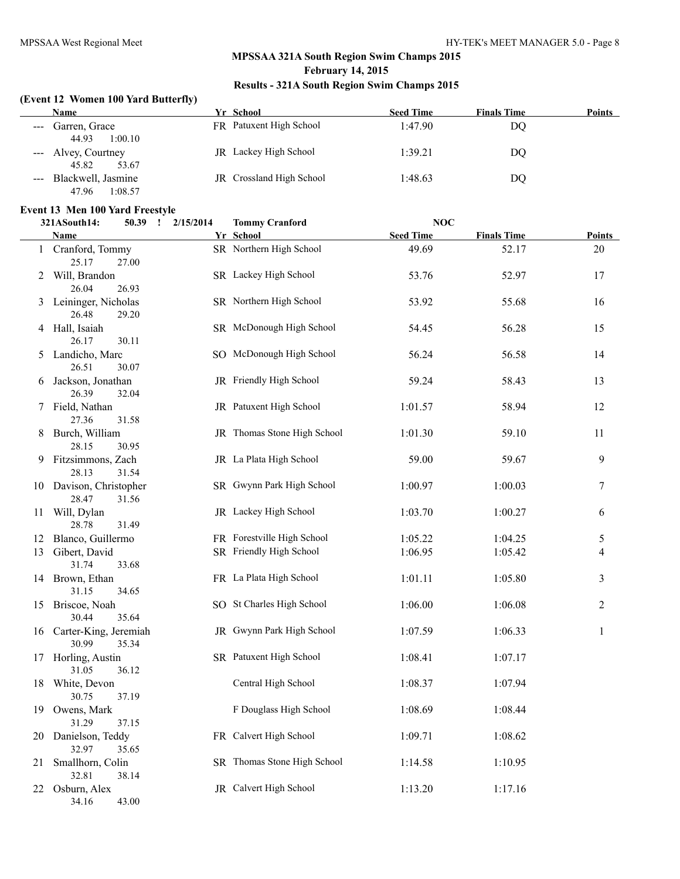#### **(Event 12 Women 100 Yard Butterfly)**

| Name                   | Yr School                | <b>Seed Time</b> | <b>Finals Time</b> | <b>Points</b> |
|------------------------|--------------------------|------------------|--------------------|---------------|
| --- Garren, Grace      | FR Patuxent High School  | 1:47.90          | DQ                 |               |
| 1:00.10<br>44.93       |                          |                  |                    |               |
| --- Alvey, Courtney    | JR Lackey High School    | 1:39.21          | DQ                 |               |
| 45.82<br>53.67         |                          |                  |                    |               |
| --- Blackwell, Jasmine | JR Crossland High School | 1:48.63          | DO                 |               |
| 1:08.57<br>47.96       |                          |                  |                    |               |

# **Event 13 Men 100 Yard Freestyle**<br>321 A South 14: 50 39 1 2

|    | 321ASouth14:                      | 50.39 ! | 2/15/2014 | <b>Tommy Cranford</b>       | NOC              |                    |               |
|----|-----------------------------------|---------|-----------|-----------------------------|------------------|--------------------|---------------|
|    | Name                              |         |           | Yr School                   | <b>Seed Time</b> | <b>Finals Time</b> | <b>Points</b> |
|    | Cranford, Tommy<br>25.17          | 27.00   |           | SR Northern High School     | 49.69            | 52.17              | 20            |
| 2  | Will, Brandon<br>26.04            | 26.93   |           | SR Lackey High School       | 53.76            | 52.97              | 17            |
| 3  | Leininger, Nicholas<br>26.48      | 29.20   |           | SR Northern High School     | 53.92            | 55.68              | 16            |
|    | 4 Hall, Isaiah<br>26.17           | 30.11   |           | SR McDonough High School    | 54.45            | 56.28              | 15            |
| 5  | Landicho, Marc<br>26.51           | 30.07   |           | SO McDonough High School    | 56.24            | 56.58              | 14            |
| 6  | Jackson, Jonathan<br>26.39        | 32.04   |           | JR Friendly High School     | 59.24            | 58.43              | 13            |
| 7  | Field, Nathan<br>27.36            | 31.58   |           | JR Patuxent High School     | 1:01.57          | 58.94              | 12            |
| 8  | Burch, William<br>28.15           | 30.95   |           | JR Thomas Stone High School | 1:01.30          | 59.10              | 11            |
| 9. | Fitzsimmons, Zach<br>28.13        | 31.54   |           | JR La Plata High School     | 59.00            | 59.67              | 9             |
|    | 10 Davison, Christopher<br>28.47  | 31.56   |           | SR Gwynn Park High School   | 1:00.97          | 1:00.03            | 7             |
| 11 | Will, Dylan<br>28.78              | 31.49   |           | JR Lackey High School       | 1:03.70          | 1:00.27            | 6             |
| 12 | Blanco, Guillermo                 |         |           | FR Forestville High School  | 1:05.22          | 1:04.25            | 5             |
|    | 13 Gibert, David<br>31.74         | 33.68   |           | SR Friendly High School     | 1:06.95          | 1:05.42            | 4             |
|    | 14 Brown, Ethan<br>31.15          | 34.65   |           | FR La Plata High School     | 1:01.11          | 1:05.80            | 3             |
|    | 15 Briscoe, Noah<br>30.44         | 35.64   |           | SO St Charles High School   | 1:06.00          | 1:06.08            | 2             |
|    | 16 Carter-King, Jeremiah<br>30.99 | 35.34   |           | JR Gwynn Park High School   | 1:07.59          | 1:06.33            | 1             |
|    | 17 Horling, Austin<br>31.05       | 36.12   |           | SR Patuxent High School     | 1:08.41          | 1:07.17            |               |
|    | 18 White, Devon<br>30.75          | 37.19   |           | Central High School         | 1:08.37          | 1:07.94            |               |
|    | 19 Owens, Mark<br>31.29           | 37.15   |           | F Douglass High School      | 1:08.69          | 1:08.44            |               |
| 20 | Danielson, Teddy<br>32.97         | 35.65   |           | FR Calvert High School      | 1:09.71          | 1:08.62            |               |
| 21 | Smallhorn, Colin<br>32.81         | 38.14   |           | SR Thomas Stone High School | 1:14.58          | 1:10.95            |               |
| 22 | Osburn, Alex<br>34.16             | 43.00   |           | JR Calvert High School      | 1:13.20          | 1:17.16            |               |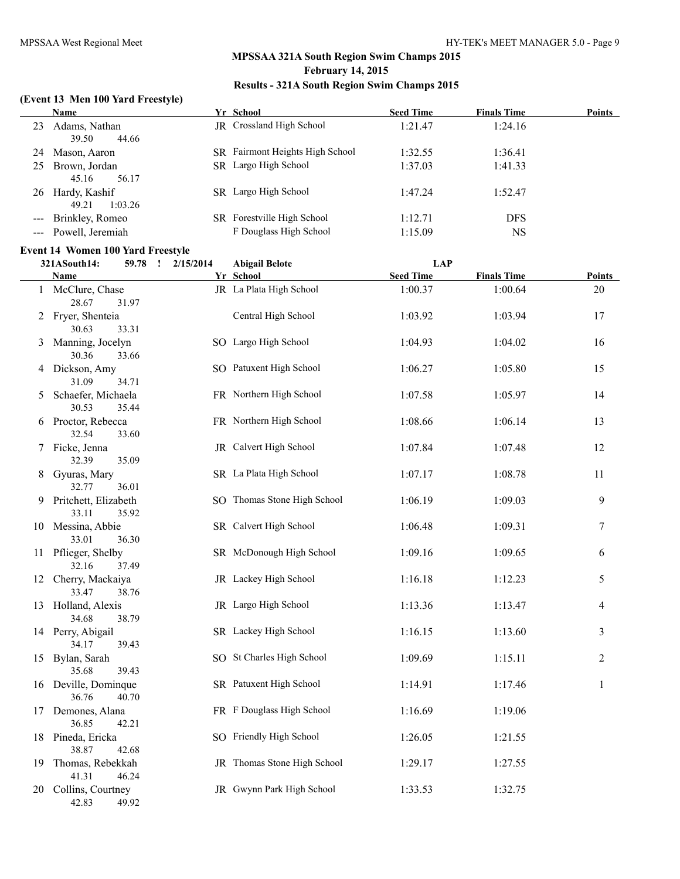#### **(Event 13 Men 100 Yard Freestyle)**

|    | <b>Name</b>                       | Yr School                              | <b>Seed Time</b> | <b>Finals Time</b> | <b>Points</b> |
|----|-----------------------------------|----------------------------------------|------------------|--------------------|---------------|
| 23 | Adams, Nathan<br>39.50<br>44.66   | JR Crossland High School               | 1:21.47          | 1:24.16            |               |
| 24 | Mason, Aaron                      | <b>SR</b> Fairmont Heights High School | 1:32.55          | 1:36.41            |               |
| 25 | Brown, Jordan<br>45.16<br>56.17   | SR Largo High School                   | 1:37.03          | 1:41.33            |               |
| 26 | Hardy, Kashif<br>1:03.26<br>49.21 | SR Largo High School                   | 1:47.24          | 1:52.47            |               |
|    | --- Brinkley, Romeo               | SR Forestville High School             | 1:12.71          | <b>DFS</b>         |               |
|    | --- Powell, Jeremiah              | F Douglass High School                 | 1:15.09          | NS                 |               |

# **Event 14 Women 100 Yard Freestyle**<br>321 A South 14: 50.78 1 2/15/2014

|    | 321ASouth14:                  | 59.78<br>$\mathbf{I}$ | 2/15/2014 | <b>Abigail Belote</b>       | <b>LAP</b>       |                    |                |
|----|-------------------------------|-----------------------|-----------|-----------------------------|------------------|--------------------|----------------|
|    | Name                          |                       |           | Yr School                   | <b>Seed Time</b> | <b>Finals Time</b> | Points         |
|    | 1 McClure, Chase<br>28.67     | 31.97                 |           | JR La Plata High School     | 1:00.37          | 1:00.64            | 20             |
| 2  | Fryer, Shenteia<br>30.63      | 33.31                 |           | Central High School         | 1:03.92          | 1:03.94            | 17             |
| 3  | Manning, Jocelyn<br>30.36     | 33.66                 |           | SO Largo High School        | 1:04.93          | 1:04.02            | 16             |
| 4  | Dickson, Amy<br>31.09         | 34.71                 |           | SO Patuxent High School     | 1:06.27          | 1:05.80            | 15             |
| 5  | Schaefer, Michaela<br>30.53   | 35.44                 |           | FR Northern High School     | 1:07.58          | 1:05.97            | 14             |
|    | 6 Proctor, Rebecca<br>32.54   | 33.60                 |           | FR Northern High School     | 1:08.66          | 1:06.14            | 13             |
|    | 7 Ficke, Jenna<br>32.39       | 35.09                 |           | JR Calvert High School      | 1:07.84          | 1:07.48            | 12             |
| 8  | Gyuras, Mary<br>32.77         | 36.01                 |           | SR La Plata High School     | 1:07.17          | 1:08.78            | 11             |
| 9  | Pritchett, Elizabeth<br>33.11 | 35.92                 |           | SO Thomas Stone High School | 1:06.19          | 1:09.03            | 9              |
|    | 10 Messina, Abbie<br>33.01    | 36.30                 |           | SR Calvert High School      | 1:06.48          | 1:09.31            | 7              |
|    | 11 Pflieger, Shelby<br>32.16  | 37.49                 |           | SR McDonough High School    | 1:09.16          | 1:09.65            | 6              |
|    | 12 Cherry, Mackaiya<br>33.47  | 38.76                 |           | JR Lackey High School       | 1:16.18          | 1:12.23            | 5              |
|    | 13 Holland, Alexis<br>34.68   | 38.79                 |           | JR Largo High School        | 1:13.36          | 1:13.47            | 4              |
|    | 14 Perry, Abigail<br>34.17    | 39.43                 |           | SR Lackey High School       | 1:16.15          | 1:13.60            | 3              |
|    | 15 Bylan, Sarah<br>35.68      | 39.43                 |           | SO St Charles High School   | 1:09.69          | 1:15.11            | $\overline{2}$ |
|    | 16 Deville, Dominque<br>36.76 | 40.70                 |           | SR Patuxent High School     | 1:14.91          | 1:17.46            | $\mathbf{1}$   |
| 17 | Demones, Alana<br>36.85       | 42.21                 |           | FR F Douglass High School   | 1:16.69          | 1:19.06            |                |
|    | 18 Pineda, Ericka<br>38.87    | 42.68                 |           | SO Friendly High School     | 1:26.05          | 1:21.55            |                |
| 19 | Thomas, Rebekkah<br>41.31     | 46.24                 |           | JR Thomas Stone High School | 1:29.17          | 1:27.55            |                |
|    | 20 Collins, Courtney<br>42.83 | 49.92                 |           | JR Gwynn Park High School   | 1:33.53          | 1:32.75            |                |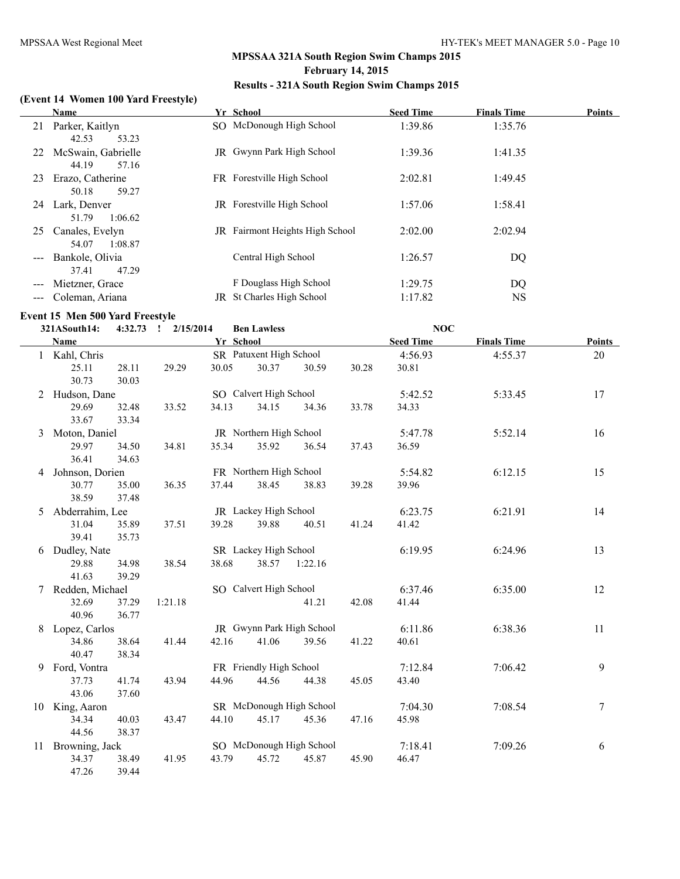## **(Event 14 Women 100 Yard Freestyle)**

|     | <b>Name</b>                                            |    | Yr School                         | <b>Seed Time</b> | <b>Finals Time</b> | <b>Points</b> |
|-----|--------------------------------------------------------|----|-----------------------------------|------------------|--------------------|---------------|
| 21  | Parker, Kaitlyn                                        |    | SO McDonough High School          | 1:39.86          | 1:35.76            |               |
| 22  | 42.53<br>53.23<br>McSwain, Gabrielle<br>44.19<br>57.16 |    | <b>IR</b> Gwynn Park High School  | 1:39.36          | 1:41.35            |               |
| 23  | Erazo, Catherine<br>50.18<br>59.27                     |    | FR Forestville High School        | 2:02.81          | 1:49.45            |               |
| 24  | Lark, Denver<br>51.79<br>1:06.62                       |    | <b>JR</b> Forestville High School | 1:57.06          | 1:58.41            |               |
| 25  | Canales, Evelyn<br>54.07<br>1:08.87                    |    | JR Fairmont Heights High School   | 2:02.00          | 2:02.94            |               |
| --- | Bankole, Olivia<br>47.29<br>37.41                      |    | Central High School               | 1:26.57          | DQ                 |               |
|     | Mietzner, Grace                                        |    | F Douglass High School            | 1:29.75          | DQ                 |               |
|     | Coleman, Ariana                                        | JR | St Charles High School            | 1:17.82          | <b>NS</b>          |               |

#### **Event 15 Men 500 Yard Freestyle**

|    | 321ASouth14:    | 4:32.73 | 2/15/2014<br>$\mathbf{I}$ |           | <b>Ben Lawless</b>      |                           |       | <b>NOC</b>       |                    |               |
|----|-----------------|---------|---------------------------|-----------|-------------------------|---------------------------|-------|------------------|--------------------|---------------|
|    | <b>Name</b>     |         |                           | Yr School |                         |                           |       | <b>Seed Time</b> | <b>Finals Time</b> | <b>Points</b> |
|    | 1 Kahl, Chris   |         |                           |           | SR Patuxent High School |                           |       | 4:56.93          | 4:55.37            | 20            |
|    | 25.11           | 28.11   | 29.29                     | 30.05     | 30.37                   | 30.59                     | 30.28 | 30.81            |                    |               |
|    | 30.73           | 30.03   |                           |           |                         |                           |       |                  |                    |               |
|    | 2 Hudson, Dane  |         |                           |           | SO Calvert High School  |                           |       | 5:42.52          | 5:33.45            | 17            |
|    | 29.69           | 32.48   | 33.52                     | 34.13     | 34.15                   | 34.36                     | 33.78 | 34.33            |                    |               |
|    | 33.67           | 33.34   |                           |           |                         |                           |       |                  |                    |               |
| 3  | Moton, Daniel   |         |                           |           | JR Northern High School |                           |       | 5:47.78          | 5:52.14            | 16            |
|    | 29.97           | 34.50   | 34.81                     | 35.34     | 35.92                   | 36.54                     | 37.43 | 36.59            |                    |               |
|    | 36.41           | 34.63   |                           |           |                         |                           |       |                  |                    |               |
| 4  | Johnson, Dorien |         |                           |           | FR Northern High School |                           |       | 5:54.82          | 6:12.15            | 15            |
|    | 30.77           | 35.00   | 36.35                     | 37.44     | 38.45                   | 38.83                     | 39.28 | 39.96            |                    |               |
|    | 38.59           | 37.48   |                           |           |                         |                           |       |                  |                    |               |
| 5  | Abderrahim, Lee |         |                           |           | JR Lackey High School   |                           |       | 6:23.75          | 6:21.91            | 14            |
|    | 31.04           | 35.89   | 37.51                     | 39.28     | 39.88                   | 40.51                     | 41.24 | 41.42            |                    |               |
|    | 39.41           | 35.73   |                           |           |                         |                           |       |                  |                    |               |
|    | 6 Dudley, Nate  |         |                           |           | SR Lackey High School   |                           |       | 6:19.95          | 6:24.96            | 13            |
|    | 29.88           | 34.98   | 38.54                     | 38.68     | 38.57                   | 1:22.16                   |       |                  |                    |               |
|    | 41.63           | 39.29   |                           |           |                         |                           |       |                  |                    |               |
|    | Redden, Michael |         |                           |           | SO Calvert High School  |                           |       | 6:37.46          | 6:35.00            | 12            |
|    | 32.69           | 37.29   | 1:21.18                   |           |                         | 41.21                     | 42.08 | 41.44            |                    |               |
|    | 40.96           | 36.77   |                           |           |                         |                           |       |                  |                    |               |
| 8  | Lopez, Carlos   |         |                           |           |                         | JR Gwynn Park High School |       | 6:11.86          | 6:38.36            | 11            |
|    | 34.86           | 38.64   | 41.44                     | 42.16     | 41.06                   | 39.56                     | 41.22 | 40.61            |                    |               |
|    | 40.47           | 38.34   |                           |           |                         |                           |       |                  |                    |               |
| 9  | Ford, Vontra    |         |                           |           | FR Friendly High School |                           |       | 7:12.84          | 7:06.42            | 9             |
|    | 37.73           | 41.74   | 43.94                     | 44.96     | 44.56                   | 44.38                     | 45.05 | 43.40            |                    |               |
|    | 43.06           | 37.60   |                           |           |                         |                           |       |                  |                    |               |
|    | 10 King, Aaron  |         |                           |           |                         | SR McDonough High School  |       | 7:04.30          | 7:08.54            | $\tau$        |
|    | 34.34           | 40.03   | 43.47                     | 44.10     | 45.17                   | 45.36                     | 47.16 | 45.98            |                    |               |
|    | 44.56           | 38.37   |                           |           |                         |                           |       |                  |                    |               |
| 11 | Browning, Jack  |         |                           |           |                         | SO McDonough High School  |       | 7:18.41          | 7:09.26            | 6             |
|    | 34.37           | 38.49   | 41.95                     | 43.79     | 45.72                   | 45.87                     | 45.90 | 46.47            |                    |               |
|    | 47.26           | 39.44   |                           |           |                         |                           |       |                  |                    |               |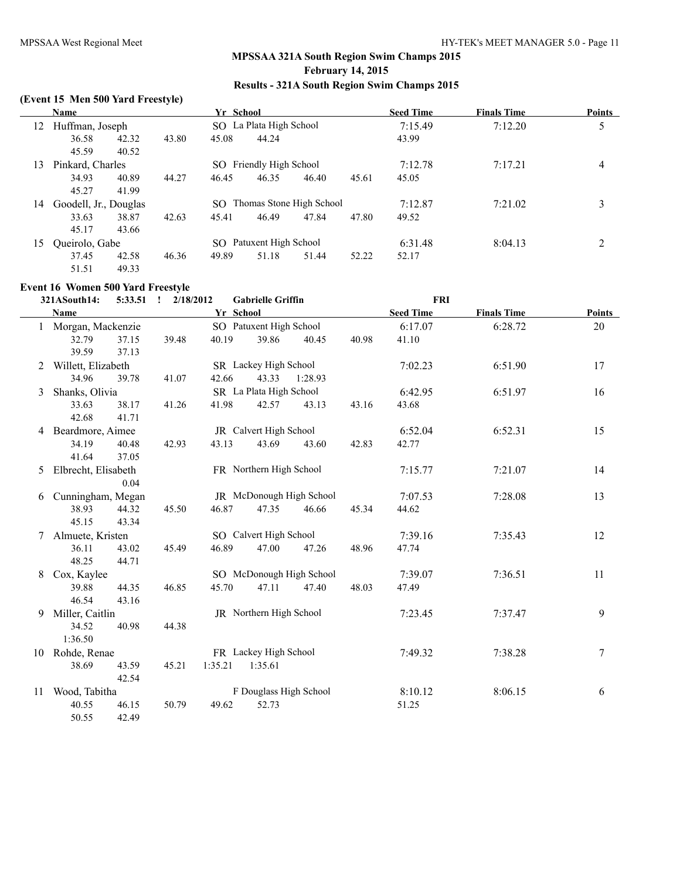## **(Event 15 Men 500 Yard Freestyle)**

|                       | Name                  |       |       | Yr School |                             |       |       | <b>Seed Time</b> | <b>Finals Time</b> | <b>Points</b> |
|-----------------------|-----------------------|-------|-------|-----------|-----------------------------|-------|-------|------------------|--------------------|---------------|
| Huffman, Joseph<br>12 |                       |       |       |           | SO La Plata High School     |       |       | 7:15.49          | 7:12.20            | 5             |
|                       | 36.58                 | 42.32 | 43.80 | 45.08     | 44.24                       |       |       | 43.99            |                    |               |
|                       | 45.59                 | 40.52 |       |           |                             |       |       |                  |                    |               |
| 13                    | Pinkard, Charles      |       |       |           | SO Friendly High School     |       |       | 7:12.78          | 7:17.21            | 4             |
|                       | 34.93                 | 40.89 | 44.27 | 46.45     | 46.35                       | 46.40 | 45.61 | 45.05            |                    |               |
|                       | 45.27                 | 41.99 |       |           |                             |       |       |                  |                    |               |
| 14                    | Goodell, Jr., Douglas |       |       |           | SO Thomas Stone High School |       |       | 7:12.87          | 7:21.02            | 3             |
|                       | 33.63                 | 38.87 | 42.63 | 45.41     | 46.49                       | 47.84 | 47.80 | 49.52            |                    |               |
|                       | 45.17                 | 43.66 |       |           |                             |       |       |                  |                    |               |
| 15                    | Queirolo, Gabe        |       |       |           | SO Patuxent High School     |       |       | 6:31.48          | 8:04.13            | 2             |
|                       | 37.45                 | 42.58 | 46.36 | 49.89     | 51.18                       | 51.44 | 52.22 | 52.17            |                    |               |
|                       | 51.51                 | 49.33 |       |           |                             |       |       |                  |                    |               |

## **Event 16 Women 500 Yard Freestyle**

|   | 321ASouth14:        | $5:33.51$ ! | 2/18/2012 |           | <b>Gabrielle Griffin</b> |                          |       | FRI              |                    |               |
|---|---------------------|-------------|-----------|-----------|--------------------------|--------------------------|-------|------------------|--------------------|---------------|
|   | <b>Name</b>         |             |           | Yr School |                          |                          |       | <b>Seed Time</b> | <b>Finals Time</b> | <b>Points</b> |
|   | 1 Morgan, Mackenzie |             |           |           | SO Patuxent High School  |                          |       | 6:17.07          | 6:28.72            | 20            |
|   | 32.79               | 37.15       | 39.48     | 40.19     | 39.86                    | 40.45                    | 40.98 | 41.10            |                    |               |
|   | 39.59               | 37.13       |           |           |                          |                          |       |                  |                    |               |
| 2 | Willett, Elizabeth  |             |           |           | SR Lackey High School    |                          |       | 7:02.23          | 6:51.90            | 17            |
|   | 34.96               | 39.78       | 41.07     | 42.66     | 43.33                    | 1:28.93                  |       |                  |                    |               |
| 3 | Shanks, Olivia      |             |           |           | SR La Plata High School  |                          |       | 6:42.95          | 6:51.97            | 16            |
|   | 33.63               | 38.17       | 41.26     | 41.98     | 42.57                    | 43.13                    | 43.16 | 43.68            |                    |               |
|   | 42.68               | 41.71       |           |           |                          |                          |       |                  |                    |               |
| 4 | Beardmore, Aimee    |             |           |           | JR Calvert High School   |                          |       | 6:52.04          | 6:52.31            | 15            |
|   | 34.19               | 40.48       | 42.93     | 43.13     | 43.69                    | 43.60                    | 42.83 | 42.77            |                    |               |
|   | 41.64               | 37.05       |           |           |                          |                          |       |                  |                    |               |
| 5 | Elbrecht, Elisabeth |             |           |           | FR Northern High School  |                          |       | 7:15.77          | 7:21.07            | 14            |
|   |                     | 0.04        |           |           |                          |                          |       |                  |                    |               |
| 6 | Cunningham, Megan   |             |           |           |                          | JR McDonough High School |       | 7:07.53          | 7:28.08            | 13            |
|   | 38.93               | 44.32       | 45.50     | 46.87     | 47.35                    | 46.66                    | 45.34 | 44.62            |                    |               |
|   | 45.15               | 43.34       |           |           |                          |                          |       |                  |                    |               |
|   | Almuete, Kristen    |             |           |           | SO Calvert High School   |                          |       | 7:39.16          | 7:35.43            | 12            |
|   | 36.11               | 43.02       | 45.49     | 46.89     | 47.00                    | 47.26                    | 48.96 | 47.74            |                    |               |
|   | 48.25               | 44.71       |           |           |                          |                          |       |                  |                    |               |
| 8 | Cox, Kaylee         |             |           |           |                          | SO McDonough High School |       | 7:39.07          | 7:36.51            | 11            |
|   | 39.88               | 44.35       | 46.85     | 45.70     | 47.11                    | 47.40                    | 48.03 | 47.49            |                    |               |
|   | 46.54               | 43.16       |           |           |                          |                          |       |                  |                    |               |
| 9 | Miller, Caitlin     |             |           |           | JR Northern High School  |                          |       | 7:23.45          | 7:37.47            | 9             |
|   | 34.52               | 40.98       | 44.38     |           |                          |                          |       |                  |                    |               |
|   | 1:36.50             |             |           |           |                          |                          |       |                  |                    |               |
|   | 10 Rohde, Renae     |             |           |           | FR Lackey High School    |                          |       | 7:49.32          | 7:38.28            | 7             |
|   | 38.69               | 43.59       | 45.21     | 1:35.21   | 1:35.61                  |                          |       |                  |                    |               |
|   |                     | 42.54       |           |           |                          |                          |       |                  |                    |               |
|   | 11 Wood, Tabitha    |             |           |           | F Douglass High School   |                          |       | 8:10.12          | 8:06.15            | 6             |
|   | 40.55               | 46.15       | 50.79     | 49.62     | 52.73                    |                          |       | 51.25            |                    |               |
|   | 50.55               | 42.49       |           |           |                          |                          |       |                  |                    |               |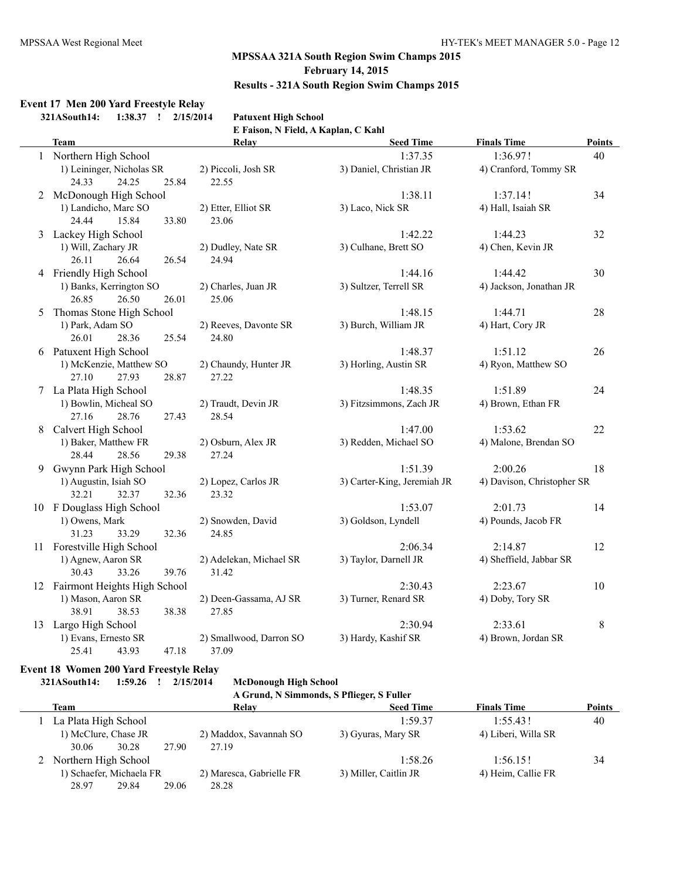## **Event 17 Men 200 Yard Freestyle Relay**

**321ASouth14: 1:38.37 ! 2/15/2014 Patuxent High School**

**E Faison, N Field, A Kaplan, C Kahl**

|   | <b>Team</b>                     | Relay                   | <b>Seed Time</b>            | <b>Finals Time</b>         | <b>Points</b> |
|---|---------------------------------|-------------------------|-----------------------------|----------------------------|---------------|
|   | 1 Northern High School          |                         | 1:37.35                     | 1:36.97!                   | 40            |
|   | 1) Leininger, Nicholas SR       | 2) Piccoli, Josh SR     | 3) Daniel, Christian JR     | 4) Cranford, Tommy SR      |               |
|   | 24.25<br>25.84<br>24.33         | 22.55                   |                             |                            |               |
|   | 2 McDonough High School         |                         | 1:38.11                     | 1:37.14!                   | 34            |
|   | 1) Landicho, Marc SO            | 2) Etter, Elliot SR     | 3) Laco, Nick SR            | 4) Hall, Isaiah SR         |               |
|   | 24.44<br>15.84<br>33.80         | 23.06                   |                             |                            |               |
|   | 3 Lackey High School            |                         | 1:42.22                     | 1:44.23                    | 32            |
|   | 1) Will, Zachary JR             | 2) Dudley, Nate SR      | 3) Culhane, Brett SO        | 4) Chen, Kevin JR          |               |
|   | 26.64<br>26.11<br>26.54         | 24.94                   |                             |                            |               |
|   | 4 Friendly High School          |                         | 1:44.16                     | 1:44.42                    | 30            |
|   | 1) Banks, Kerrington SO         | 2) Charles, Juan JR     | 3) Sultzer, Terrell SR      | 4) Jackson, Jonathan JR    |               |
|   | 26.85<br>26.50<br>26.01         | 25.06                   |                             |                            |               |
| 5 | Thomas Stone High School        |                         | 1:48.15                     | 1:44.71                    | 28            |
|   | 1) Park, Adam SO                | 2) Reeves, Davonte SR   | 3) Burch, William JR        | 4) Hart, Cory JR           |               |
|   | 26.01<br>28.36<br>25.54         | 24.80                   |                             |                            |               |
|   | 6 Patuxent High School          |                         | 1:48.37                     | 1:51.12                    | 26            |
|   | 1) McKenzie, Matthew SO         | 2) Chaundy, Hunter JR   | 3) Horling, Austin SR       | 4) Ryon, Matthew SO        |               |
|   | 27.93<br>27.10<br>28.87         | 27.22                   |                             |                            |               |
|   | 7 La Plata High School          |                         | 1:48.35                     | 1:51.89                    | 24            |
|   | 1) Bowlin, Micheal SO           | 2) Traudt, Devin JR     | 3) Fitzsimmons, Zach JR     | 4) Brown, Ethan FR         |               |
|   | 27.16<br>28.76<br>27.43         | 28.54                   |                             |                            |               |
|   | 8 Calvert High School           |                         | 1:47.00                     | 1:53.62                    | 22            |
|   | 1) Baker, Matthew FR            | 2) Osburn, Alex JR      | 3) Redden, Michael SO       | 4) Malone, Brendan SO      |               |
|   | 28.44<br>28.56<br>29.38         | 27.24                   |                             |                            |               |
| 9 | Gwynn Park High School          |                         | 1:51.39                     | 2:00.26                    | 18            |
|   | 1) Augustin, Isiah SO           | 2) Lopez, Carlos JR     | 3) Carter-King, Jeremiah JR | 4) Davison, Christopher SR |               |
|   | 32.21<br>32.37<br>32.36         | 23.32                   |                             |                            |               |
|   | 10 F Douglass High School       |                         | 1:53.07                     | 2:01.73                    | 14            |
|   | 1) Owens, Mark                  | 2) Snowden, David       | 3) Goldson, Lyndell         | 4) Pounds, Jacob FR        |               |
|   | 31.23<br>33.29<br>32.36         | 24.85                   |                             |                            |               |
|   | 11 Forestville High School      |                         | 2:06.34                     | 2:14.87                    | 12            |
|   | 1) Agnew, Aaron SR              | 2) Adelekan, Michael SR | 3) Taylor, Darnell JR       | 4) Sheffield, Jabbar SR    |               |
|   | 30.43<br>33.26<br>39.76         | 31.42                   |                             |                            |               |
|   | 12 Fairmont Heights High School |                         | 2:30.43                     | 2:23.67                    | 10            |
|   | 1) Mason, Aaron SR              | 2) Deen-Gassama, AJ SR  | 3) Turner, Renard SR        | 4) Doby, Tory SR           |               |
|   | 38.91<br>38.53<br>38.38         | 27.85                   |                             |                            |               |
|   | 13 Largo High School            |                         | 2:30.94                     | 2:33.61                    | 8             |
|   | 1) Evans, Ernesto SR            | 2) Smallwood, Darron SO | 3) Hardy, Kashif SR         | 4) Brown, Jordan SR        |               |
|   | 43.93<br>47.18<br>25.41         | 37.09                   |                             |                            |               |

#### **Event 18 Women 200 Yard Freestyle Relay**

**321ASouth14: 1:59.26 ! 2/15/2014 McDonough High School**

| A Grund, N Simmonds, S Pflieger, S Fuller |                          |                       |                     |               |  |  |  |  |  |  |
|-------------------------------------------|--------------------------|-----------------------|---------------------|---------------|--|--|--|--|--|--|
| Team                                      | Relay                    | <b>Seed Time</b>      | <b>Finals Time</b>  | <b>Points</b> |  |  |  |  |  |  |
| La Plata High School                      |                          | 1:59.37               | 1.55431             | 40            |  |  |  |  |  |  |
| 1) McClure, Chase JR                      | 2) Maddox, Savannah SO   | 3) Gyuras, Mary SR    | 4) Liberi, Willa SR |               |  |  |  |  |  |  |
| 30.28<br>27.90<br>30.06                   | 27.19                    |                       |                     |               |  |  |  |  |  |  |
| Northern High School                      |                          | 1:58.26               | 1:56.15!            | 34            |  |  |  |  |  |  |
| 1) Schaefer, Michaela FR                  | 2) Maresca, Gabrielle FR | 3) Miller, Caitlin JR | 4) Heim, Callie FR  |               |  |  |  |  |  |  |
| 28.97<br>29.84<br>29.06                   | 28.28                    |                       |                     |               |  |  |  |  |  |  |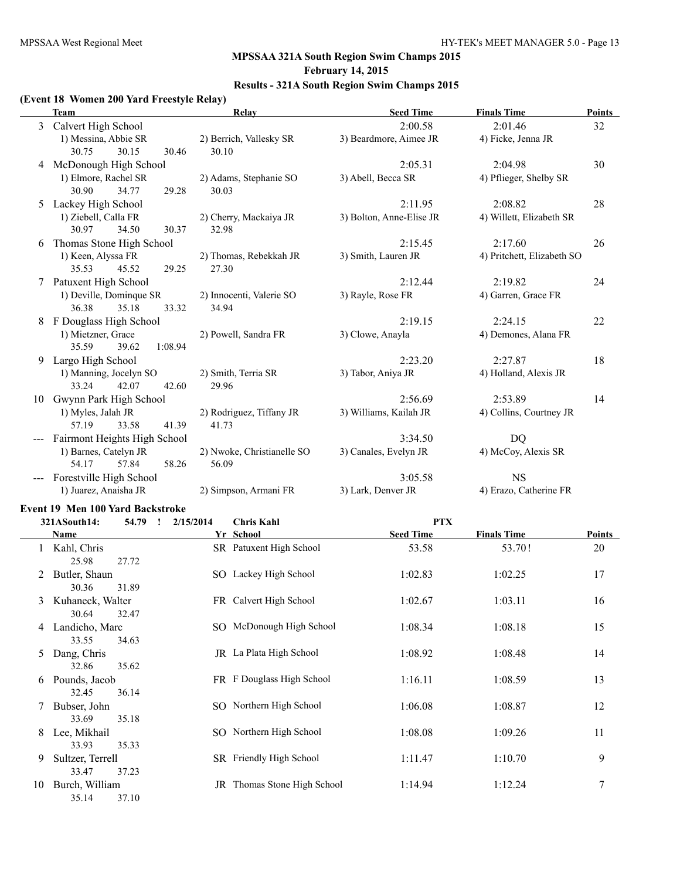# **MPSSAA 321A South Region Swim Champs 2015 February 14, 2015**

# **Results - 321A South Region Swim Champs 2015**

#### **(Event 18 Women 200 Yard Freestyle Relay)**

|    | Team                         | Relay                      | <b>Seed Time</b>         | <b>Finals Time</b>         | <b>Points</b> |
|----|------------------------------|----------------------------|--------------------------|----------------------------|---------------|
| 3  | Calvert High School          |                            | 2:00.58                  | 2:01.46                    | 32            |
|    | 1) Messina, Abbie SR         | 2) Berrich, Vallesky SR    | 3) Beardmore, Aimee JR   | 4) Ficke, Jenna JR         |               |
|    | 30.75<br>30.15<br>30.46      | 30.10                      |                          |                            |               |
| 4  | McDonough High School        |                            | 2:05.31                  | 2:04.98                    | 30            |
|    | 1) Elmore, Rachel SR         | 2) Adams, Stephanie SO     | 3) Abell, Becca SR       | 4) Pflieger, Shelby SR     |               |
|    | 30.90<br>34.77<br>29.28      | 30.03                      |                          |                            |               |
| 5  | Lackey High School           |                            | 2:11.95                  | 2:08.82                    | 28            |
|    | 1) Ziebell, Calla FR         | 2) Cherry, Mackaiya JR     | 3) Bolton, Anne-Elise JR | 4) Willett, Elizabeth SR   |               |
|    | 30.97<br>34.50<br>30.37      | 32.98                      |                          |                            |               |
| 6  | Thomas Stone High School     |                            | 2:15.45                  | 2:17.60                    | 26            |
|    | 1) Keen, Alyssa FR           | 2) Thomas, Rebekkah JR     | 3) Smith, Lauren JR      | 4) Pritchett, Elizabeth SO |               |
|    | 35.53<br>45.52<br>29.25      | 27.30                      |                          |                            |               |
| 7  | Patuxent High School         |                            | 2:12.44                  | 2:19.82                    | 24            |
|    | 1) Deville, Dominque SR      | 2) Innocenti, Valerie SO   | 3) Rayle, Rose FR        | 4) Garren, Grace FR        |               |
|    | 36.38<br>35.18<br>33.32      | 34.94                      |                          |                            |               |
| 8  | F Douglass High School       |                            | 2:19.15                  | 2:24.15                    | 22            |
|    | 1) Mietzner, Grace           | 2) Powell, Sandra FR       | 3) Clowe, Anayla         | 4) Demones, Alana FR       |               |
|    | 35.59<br>39.62<br>1:08.94    |                            |                          |                            |               |
| 9  | Largo High School            |                            | 2:23.20                  | 2:27.87                    | 18            |
|    | 1) Manning, Jocelyn SO       | 2) Smith, Terria SR        | 3) Tabor, Aniya JR       | 4) Holland, Alexis JR      |               |
|    | 33.24<br>42.07<br>42.60      | 29.96                      |                          |                            |               |
| 10 | Gwynn Park High School       |                            | 2:56.69                  | 2:53.89                    | 14            |
|    | 1) Myles, Jalah JR           | 2) Rodriguez, Tiffany JR   | 3) Williams, Kailah JR   | 4) Collins, Courtney JR    |               |
|    | 57.19<br>33.58<br>41.39      | 41.73                      |                          |                            |               |
|    | Fairmont Heights High School |                            | 3:34.50                  | <b>DQ</b>                  |               |
|    | 1) Barnes, Catelyn JR        | 2) Nwoke, Christianelle SO | 3) Canales, Evelyn JR    | 4) McCoy, Alexis SR        |               |
|    | 58.26<br>54.17<br>57.84      | 56.09                      |                          |                            |               |
|    | Forestville High School      |                            | 3:05.58                  | <b>NS</b>                  |               |
|    | 1) Juarez, Anaisha JR        | 2) Simpson, Armani FR      | 3) Lark, Denver JR       | 4) Erazo, Catherine FR     |               |

#### **Event 19 Men 100 Yard Backstroke**

|    | 321ASouth14:              | 54.79<br>$\mathbf{I}$ | 2/15/2014 | <b>Chris Kahl</b>           | <b>PTX</b>       |                    |        |
|----|---------------------------|-----------------------|-----------|-----------------------------|------------------|--------------------|--------|
|    | Name                      |                       |           | Yr School                   | <b>Seed Time</b> | <b>Finals Time</b> | Points |
|    | Kahl, Chris<br>25.98      | 27.72                 |           | SR Patuxent High School     | 53.58            | 53.70!             | 20     |
| 2  | Butler, Shaun<br>30.36    | 31.89                 |           | SO Lackey High School       | 1:02.83          | 1:02.25            | 17     |
| 3  | Kuhaneck, Walter<br>30.64 | 32.47                 |           | FR Calvert High School      | 1:02.67          | 1:03.11            | 16     |
| 4  | Landicho, Marc<br>33.55   | 34.63                 |           | SO McDonough High School    | 1:08.34          | 1:08.18            | 15     |
| 5. | Dang, Chris<br>32.86      | 35.62                 |           | JR La Plata High School     | 1:08.92          | 1:08.48            | 14     |
| 6  | Pounds, Jacob<br>32.45    | 36.14                 |           | FR F Douglass High School   | 1:16.11          | 1:08.59            | 13     |
|    | Bubser, John<br>33.69     | 35.18                 |           | SO Northern High School     | 1:06.08          | 1:08.87            | 12     |
| 8  | Lee, Mikhail<br>33.93     | 35.33                 |           | SO Northern High School     | 1:08.08          | 1:09.26            | 11     |
| 9  | Sultzer, Terrell<br>33.47 | 37.23                 |           | SR Friendly High School     | 1:11.47          | 1:10.70            | 9      |
| 10 | Burch, William<br>35.14   | 37.10                 |           | JR Thomas Stone High School | 1:14.94          | 1:12.24            | 7      |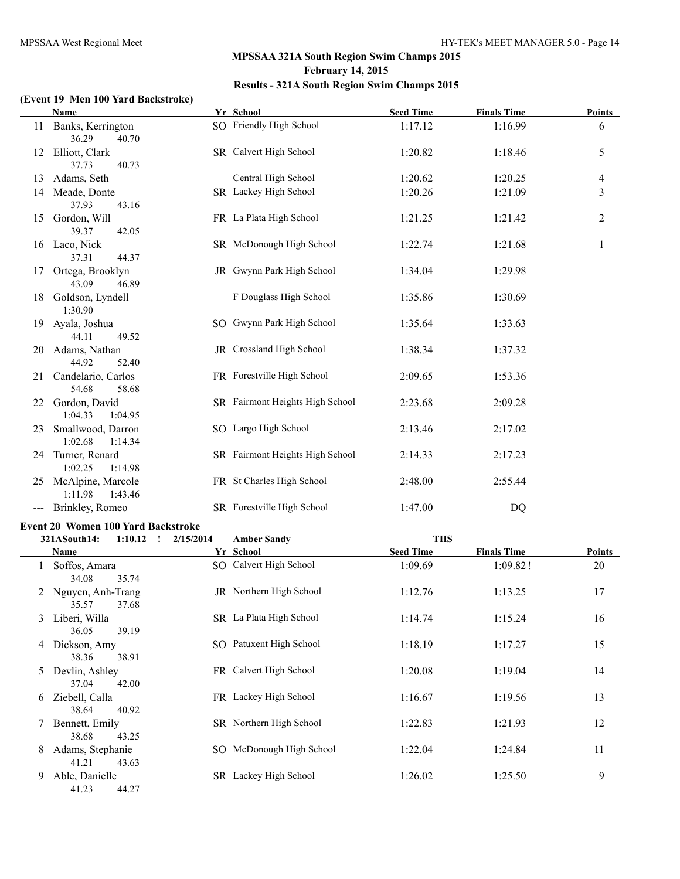## **(Event 19 Men 100 Yard Backstroke)**

|    | <b>Name</b>                                   | Yr School                       | <b>Seed Time</b> | <b>Finals Time</b> | <b>Points</b>  |
|----|-----------------------------------------------|---------------------------------|------------------|--------------------|----------------|
|    | 11 Banks, Kerrington<br>36.29<br>40.70        | SO Friendly High School         | 1:17.12          | 1:16.99            | 6              |
|    | 12 Elliott, Clark<br>37.73<br>40.73           | SR Calvert High School          | 1:20.82          | 1:18.46            | 5              |
| 13 | Adams, Seth                                   | Central High School             | 1:20.62          | 1:20.25            | $\overline{4}$ |
|    | 14 Meade, Donte                               | SR Lackey High School           | 1:20.26          | 1:21.09            | 3              |
|    | 37.93<br>43.16                                |                                 |                  |                    |                |
|    | 15 Gordon, Will<br>39.37<br>42.05             | FR La Plata High School         | 1:21.25          | 1:21.42            | $\overline{2}$ |
|    | 16 Laco, Nick<br>37.31<br>44.37               | SR McDonough High School        | 1:22.74          | 1:21.68            | 1              |
|    | 17 Ortega, Brooklyn<br>43.09<br>46.89         | JR Gwynn Park High School       | 1:34.04          | 1:29.98            |                |
|    | 18 Goldson, Lyndell<br>1:30.90                | F Douglass High School          | 1:35.86          | 1:30.69            |                |
|    | 19 Ayala, Joshua<br>44.11<br>49.52            | SO Gwynn Park High School       | 1:35.64          | 1:33.63            |                |
|    | 20 Adams, Nathan<br>44.92<br>52.40            | JR Crossland High School        | 1:38.34          | 1:37.32            |                |
|    | 21 Candelario, Carlos<br>54.68<br>58.68       | FR Forestville High School      | 2:09.65          | 1:53.36            |                |
|    | 22 Gordon, David<br>1:04.33<br>1:04.95        | SR Fairmont Heights High School | 2:23.68          | 2:09.28            |                |
|    | 23 Smallwood, Darron<br>1:02.68<br>1:14.34    | SO Largo High School            | 2:13.46          | 2:17.02            |                |
|    | 24 Turner, Renard<br>1:02.25<br>1:14.98       | SR Fairmont Heights High School | 2:14.33          | 2:17.23            |                |
|    | 25 McAlpine, Marcole<br>1:11.98<br>1:43.46    | FR St Charles High School       | 2:48.00          | 2:55.44            |                |
|    | --- Brinkley, Romeo                           | SR Forestville High School      | 1:47.00          | DQ                 |                |
|    | Event 20 Women 100 Yard Backstroke            |                                 |                  |                    |                |
|    | 321ASouth14:<br>$1:10.12$ $\quad$ $2/15/2014$ | <b>Amber Sandy</b>              | <b>THS</b>       |                    |                |
|    | <b>Name</b>                                   | Yr School                       | <b>Seed Time</b> | <b>Finals Time</b> | <b>Points</b>  |
|    | 1 Soffos, Amara<br>34.08<br>35.74             | SO Calvert High School          | 1:09.69          | 1:09.82!           | 20             |
| 2  | Nguyen, Anh-Trang<br>35.57 37.68              | JR Northern High School         | 1:12.76          | 1:13.25            | 17             |
| 3  | Liberi, Willa<br>36.05<br>39.19               | SR La Plata High School         | 1:14.74          | 1:15.24            | 16             |
|    | 4 Dickson, Amy<br>38.36<br>38.91              | SO Patuxent High School         | 1:18.19          | 1:17.27            | 15             |
| 5  | Devlin, Ashley<br>37.04<br>42.00              | FR Calvert High School          | 1:20.08          | 1:19.04            | 14             |
| 6  | Ziebell, Calla<br>38.64<br>40.92              | FR Lackey High School           | 1:16.67          | 1:19.56            | 13             |
| 7  | Bennett, Emily<br>38.68<br>43.25              | SR Northern High School         | 1:22.83          | 1:21.93            | 12             |
| 8  | Adams, Stephanie<br>41.21<br>43.63            | SO McDonough High School        | 1:22.04          | 1:24.84            | 11             |
| 9. | Able, Danielle<br>41.23<br>44.27              | SR Lackey High School           | 1:26.02          | 1:25.50            | 9              |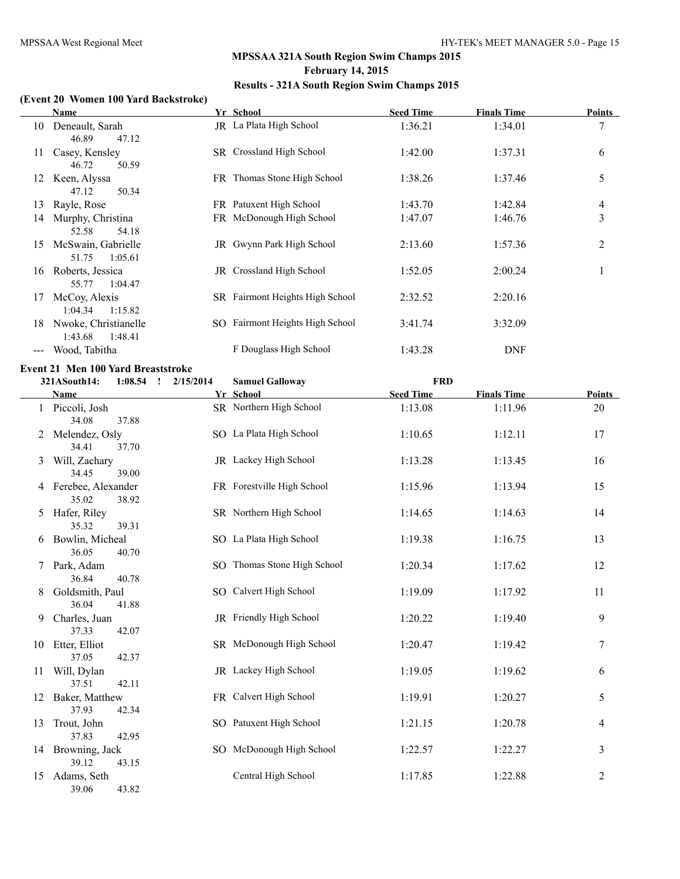#### **(Event 20 Women 100 Yard Backstroke)**

|    | Name                                               | Yr School                       | <b>Seed Time</b> | <b>Finals Time</b> | Points |
|----|----------------------------------------------------|---------------------------------|------------------|--------------------|--------|
| 10 | Deneault, Sarah                                    | JR La Plata High School         | 1:36.21          | 1:34.01            |        |
| 11 | 47.12<br>46.89<br>Casey, Kensley<br>46.72<br>50.59 | SR Crossland High School        | 1:42.00          | 1:37.31            | 6      |
| 12 | Keen, Alyssa<br>47.12<br>50.34                     | FR Thomas Stone High School     | 1:38.26          | 1:37.46            | 5      |
| 13 | Rayle, Rose                                        | FR Patuxent High School         | 1:43.70          | 1:42.84            | 4      |
| 14 | Murphy, Christina<br>54.18<br>52.58                | FR McDonough High School        | 1:47.07          | 1:46.76            | 3      |
| 15 | McSwain, Gabrielle<br>1:05.61<br>51.75             | JR Gwynn Park High School       | 2:13.60          | 1:57.36            | 2      |
| 16 | Roberts, Jessica<br>55.77<br>1:04.47               | JR Crossland High School        | 1:52.05          | 2:00.24            |        |
| 17 | McCoy, Alexis<br>1:04.34<br>1:15.82                | SR Fairmont Heights High School | 2:32.52          | 2:20.16            |        |
| 18 | Nwoke, Christianelle<br>1:43.68<br>1:48.41         | SO Fairmont Heights High School | 3:41.74          | 3:32.09            |        |
|    | Wood, Tabitha                                      | F Douglass High School          | 1:43.28          | <b>DNF</b>         |        |

## **Event 21 Men 100 Yard Breaststroke**

|    | 321ASouth14:                  | $1:08.54$ ! | 2/15/2014 | <b>Samuel Galloway</b>      | <b>FRD</b>       |                    |                |
|----|-------------------------------|-------------|-----------|-----------------------------|------------------|--------------------|----------------|
|    | Name                          |             |           | Yr School                   | <b>Seed Time</b> | <b>Finals Time</b> | Points         |
|    | 1 Piccoli, Josh<br>34.08      | 37.88       |           | SR Northern High School     | 1:13.08          | 1:11.96            | 20             |
| 2  | Melendez, Osly<br>34.41       | 37.70       |           | SO La Plata High School     | 1:10.65          | 1:12.11            | 17             |
| 3  | Will, Zachary<br>34.45        | 39.00       |           | JR Lackey High School       | 1:13.28          | 1:13.45            | 16             |
|    | 4 Ferebee, Alexander<br>35.02 | 38.92       |           | FR Forestville High School  | 1:15.96          | 1:13.94            | 15             |
| 5  | Hafer, Riley<br>35.32         | 39.31       |           | SR Northern High School     | 1:14.65          | 1:14.63            | 14             |
| 6  | Bowlin, Micheal<br>36.05      | 40.70       |           | SO La Plata High School     | 1:19.38          | 1:16.75            | 13             |
|    | Park, Adam<br>36.84           | 40.78       |           | SO Thomas Stone High School | 1:20.34          | 1:17.62            | 12             |
| 8  | Goldsmith, Paul<br>36.04      | 41.88       |           | SO Calvert High School      | 1:19.09          | 1:17.92            | 11             |
| 9  | Charles, Juan<br>37.33        | 42.07       |           | JR Friendly High School     | 1:20.22          | 1:19.40            | 9              |
| 10 | Etter, Elliot<br>37.05        | 42.37       |           | SR McDonough High School    | 1:20.47          | 1:19.42            | $\sqrt{ }$     |
| 11 | Will, Dylan<br>37.51          | 42.11       |           | JR Lackey High School       | 1:19.05          | 1:19.62            | 6              |
| 12 | Baker, Matthew<br>37.93       | 42.34       |           | FR Calvert High School      | 1:19.91          | 1:20.27            | 5              |
| 13 | Trout, John<br>37.83          | 42.95       |           | SO Patuxent High School     | 1:21.15          | 1:20.78            | 4              |
| 14 | Browning, Jack<br>39.12       | 43.15       |           | SO McDonough High School    | 1:22.57          | 1:22.27            | 3              |
| 15 | Adams, Seth<br>39.06          | 43.82       |           | Central High School         | 1:17.85          | 1:22.88            | $\overline{2}$ |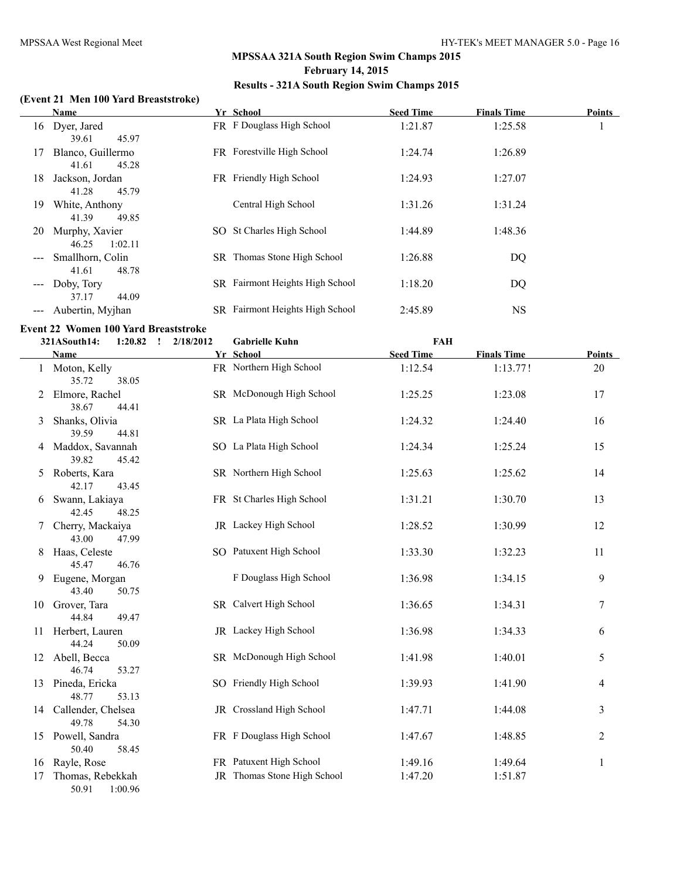## **(Event 21 Men 100 Yard Breaststroke)**

|                   | <b>Name</b>                                           |     | Yr School                       | <b>Seed Time</b> | <b>Finals Time</b> | <b>Points</b> |
|-------------------|-------------------------------------------------------|-----|---------------------------------|------------------|--------------------|---------------|
| 16                | Dyer, Jared                                           |     | FR F Douglass High School       | 1:21.87          | 1:25.58            |               |
| 17                | 45.97<br>39.61<br>Blanco, Guillermo<br>41.61<br>45.28 |     | FR Forestville High School      | 1:24.74          | 1:26.89            |               |
| 18                | Jackson, Jordan<br>45.79<br>41.28                     |     | FR Friendly High School         | 1:24.93          | 1:27.07            |               |
| 19                | White, Anthony<br>41.39<br>49.85                      |     | Central High School             | 1:31.26          | 1:31.24            |               |
| 20                | Murphy, Xavier<br>1:02.11<br>46.25                    | SO. | St Charles High School          | 1:44.89          | 1:48.36            |               |
| $\qquad \qquad -$ | Smallhorn, Colin<br>48.78<br>41.61                    |     | SR Thomas Stone High School     | 1:26.88          | DQ                 |               |
| $\qquad \qquad -$ | Doby, Tory<br>37.17<br>44.09                          |     | SR Fairmont Heights High School | 1:18.20          | DQ                 |               |
|                   | Aubertin, Myihan                                      |     | SR Fairmont Heights High School | 2:45.89          | NS                 |               |

#### **Event 22 Women 100 Yard Breaststroke**

|    | 321ASouth14:                   | 1:20.82<br>$\mathbf{I}$ | 2/18/2012 | <b>Gabrielle Kuhn</b>       | FAH              |                    |                         |
|----|--------------------------------|-------------------------|-----------|-----------------------------|------------------|--------------------|-------------------------|
|    | Name                           |                         |           | Yr School                   | <b>Seed Time</b> | <b>Finals Time</b> | <b>Points</b>           |
|    | 1 Moton, Kelly<br>35.72        | 38.05                   |           | FR Northern High School     | 1:12.54          | 1:13.77!           | 20                      |
| 2  | Elmore, Rachel<br>38.67        | 44.41                   |           | SR McDonough High School    | 1:25.25          | 1:23.08            | 17                      |
| 3  | Shanks, Olivia<br>39.59        | 44.81                   |           | SR La Plata High School     | 1:24.32          | 1:24.40            | 16                      |
|    | 4 Maddox, Savannah<br>39.82    | 45.42                   |           | SO La Plata High School     | 1:24.34          | 1:25.24            | 15                      |
| 5  | Roberts, Kara<br>42.17         | 43.45                   |           | SR Northern High School     | 1:25.63          | 1:25.62            | 14                      |
| 6  | Swann, Lakiaya<br>42.45        | 48.25                   |           | FR St Charles High School   | 1:31.21          | 1:30.70            | 13                      |
| 7  | Cherry, Mackaiya<br>43.00      | 47.99                   |           | JR Lackey High School       | 1:28.52          | 1:30.99            | 12                      |
| 8  | Haas, Celeste<br>45.47         | 46.76                   |           | SO Patuxent High School     | 1:33.30          | 1:32.23            | 11                      |
| 9  | Eugene, Morgan<br>43.40        | 50.75                   |           | F Douglass High School      | 1:36.98          | 1:34.15            | 9                       |
|    | 10 Grover, Tara<br>44.84       | 49.47                   |           | SR Calvert High School      | 1:36.65          | 1:34.31            | 7                       |
| 11 | Herbert, Lauren<br>44.24       | 50.09                   |           | JR Lackey High School       | 1:36.98          | 1:34.33            | 6                       |
|    | 12 Abell, Becca<br>46.74       | 53.27                   |           | SR McDonough High School    | 1:41.98          | 1:40.01            | 5                       |
|    | 13 Pineda, Ericka<br>48.77     | 53.13                   |           | SO Friendly High School     | 1:39.93          | 1:41.90            | 4                       |
|    | 14 Callender, Chelsea<br>49.78 | 54.30                   |           | JR Crossland High School    | 1:47.71          | 1:44.08            | $\overline{\mathbf{3}}$ |
|    | 15 Powell, Sandra<br>50.40     | 58.45                   |           | FR F Douglass High School   | 1:47.67          | 1:48.85            | $\overline{2}$          |
| 16 | Rayle, Rose                    |                         |           | FR Patuxent High School     | 1:49.16          | 1:49.64            | $\,1$                   |
| 17 | Thomas, Rebekkah<br>50.91      | 1:00.96                 |           | JR Thomas Stone High School | 1:47.20          | 1:51.87            |                         |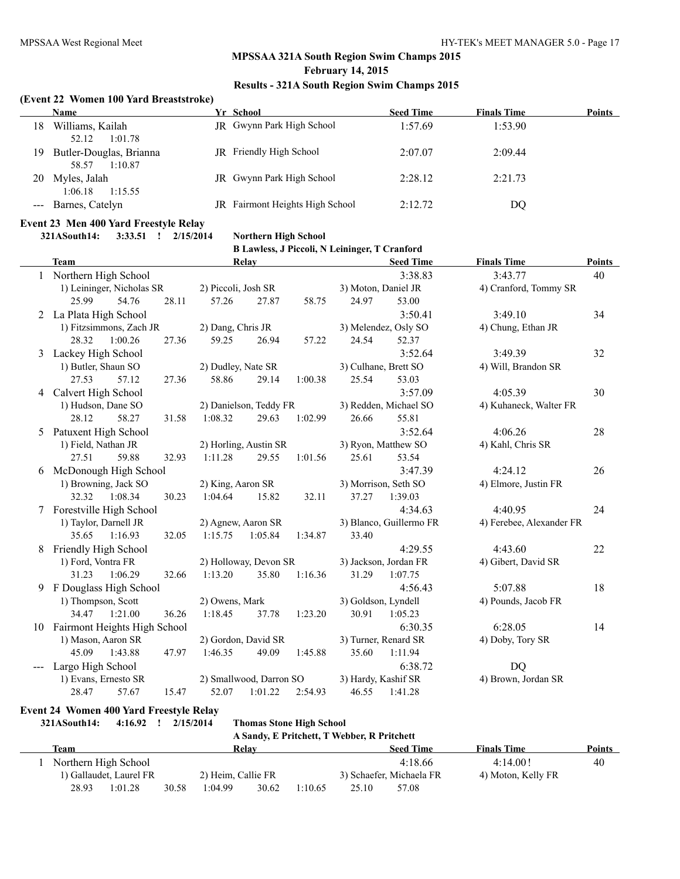## **MPSSAA 321A South Region Swim Champs 2015 February 14, 2015**

#### **Results - 321A South Region Swim Champs 2015**

#### **(Event 22 Women 100 Yard Breaststroke)**

|    | Name                                        | Yr School                        | <b>Seed Time</b> | <b>Finals Time</b> | Points |
|----|---------------------------------------------|----------------------------------|------------------|--------------------|--------|
| 18 | Williams, Kailah<br>1:01.78<br>52.12        | JR Gwynn Park High School        | 1:57.69          | 1:53.90            |        |
| 19 | Butler-Douglas, Brianna<br>1:10.87<br>58.57 | <b>JR</b> Friendly High School   | 2:07.07          | 2:09.44            |        |
| 20 | Myles, Jalah<br>1:06.18<br>1:15.55          | <b>JR</b> Gwynn Park High School | 2:28.12          | 2:21.73            |        |
|    | --- Barnes, Catelyn                         | JR Fairmont Heights High School  | 2:12.72          | DO                 |        |

#### **Event 23 Men 400 Yard Freestyle Relay**

**321ASouth14: 3:33.51 ! 2/15/2014 Northern High School**

**B Lawless, J Piccoli, N Leininger, T Cranford**

|   | <b>Team</b>                     | Relay                         | <b>Seed Time</b>        | <b>Finals Time</b><br><b>Points</b> |  |
|---|---------------------------------|-------------------------------|-------------------------|-------------------------------------|--|
|   | Northern High School            |                               | 3:38.83                 | 3:43.77<br>40                       |  |
|   | 1) Leininger, Nicholas SR       | 2) Piccoli, Josh SR           | 3) Moton, Daniel JR     | 4) Cranford, Tommy SR               |  |
|   | 25.99<br>54.76<br>28.11         | 57.26<br>27.87<br>58.75       | 24.97<br>53.00          |                                     |  |
|   | 2 La Plata High School          |                               | 3:50.41                 | 3:49.10<br>34                       |  |
|   | 1) Fitzsimmons, Zach JR         | 2) Dang, Chris JR             | 3) Melendez, Osly SO    | 4) Chung, Ethan JR                  |  |
|   | 28.32<br>1:00.26<br>27.36       | 59.25<br>57.22<br>26.94       | 24.54<br>52.37          |                                     |  |
| 3 | Lackey High School              |                               | 3:52.64                 | 3:49.39<br>32                       |  |
|   | 1) Butler, Shaun SO             | 2) Dudley, Nate SR            | 3) Culhane, Brett SO    | 4) Will, Brandon SR                 |  |
|   | 27.53<br>57.12<br>27.36         | 58.86<br>29.14<br>1:00.38     | 25.54<br>53.03          |                                     |  |
| 4 | Calvert High School             |                               | 3:57.09                 | 4:05.39<br>30                       |  |
|   | 1) Hudson, Dane SO              | 2) Danielson, Teddy FR        | 3) Redden, Michael SO   | 4) Kuhaneck, Walter FR              |  |
|   | 28.12<br>58.27<br>31.58         | 1:08.32<br>29.63<br>1:02.99   | 26.66<br>55.81          |                                     |  |
| 5 | Patuxent High School            |                               | 3:52.64                 | 4:06.26<br>28                       |  |
|   | 1) Field, Nathan JR             | 2) Horling, Austin SR         | 3) Ryon, Matthew SO     | 4) Kahl, Chris SR                   |  |
|   | 27.51<br>59.88<br>32.93         | 1:01.56<br>1:11.28<br>29.55   | 25.61<br>53.54          |                                     |  |
| 6 | McDonough High School           |                               | 3:47.39                 | 4:24.12<br>26                       |  |
|   | 1) Browning, Jack SO            | 2) King, Aaron SR             | 3) Morrison, Seth SO    | 4) Elmore, Justin FR                |  |
|   | 32.32<br>1:08.34<br>30.23       | 1:04.64<br>15.82<br>32.11     | 37.27<br>1:39.03        |                                     |  |
|   | 7 Forestville High School       |                               | 4:34.63                 | 24<br>4:40.95                       |  |
|   | 1) Taylor, Darnell JR           | 2) Agnew, Aaron SR            | 3) Blanco, Guillermo FR | 4) Ferebee, Alexander FR            |  |
|   | 35.65<br>1:16.93<br>32.05       | 1:15.75<br>1:05.84<br>1:34.87 | 33.40                   |                                     |  |
| 8 | Friendly High School            |                               | 4:29.55                 | 4:43.60<br>22                       |  |
|   | 1) Ford, Vontra FR              | 2) Holloway, Devon SR         | 3) Jackson, Jordan FR   | 4) Gibert, David SR                 |  |
|   | 31.23<br>1:06.29<br>32.66       | 1:13.20<br>35.80<br>1:16.36   | 1:07.75<br>31.29        |                                     |  |
| 9 | F Douglass High School          |                               | 4:56.43                 | 5:07.88<br>18                       |  |
|   | 1) Thompson, Scott              | 2) Owens, Mark                | 3) Goldson, Lyndell     | 4) Pounds, Jacob FR                 |  |
|   | 34.47 1:21.00<br>36.26          | 1:18.45<br>37.78<br>1:23.20   | 30.91<br>1:05.23        |                                     |  |
|   | 10 Fairmont Heights High School |                               | 6:30.35                 | 6:28.05<br>14                       |  |
|   | 1) Mason, Aaron SR              | 2) Gordon, David SR           | 3) Turner, Renard SR    | 4) Doby, Tory SR                    |  |
|   | 45.09<br>1:43.88<br>47.97       | 1:46.35<br>49.09<br>1:45.88   | 35.60<br>1:11.94        |                                     |  |
|   | Largo High School               |                               | 6:38.72                 | DQ                                  |  |
|   | 1) Evans, Ernesto SR            | 2) Smallwood, Darron SO       | 3) Hardy, Kashif SR     | 4) Brown, Jordan SR                 |  |
|   | 28.47<br>57.67<br>15.47         | 52.07<br>1:01.22<br>2:54.93   | 1:41.28<br>46.55        |                                     |  |

#### **Event 24 Women 400 Yard Freestyle Relay**

| 321ASouth14: | 4:16.92                 | 2/15/2014 |                    |       | <b>Thomas Stone High School</b> | A Sandy, E Pritchett, T Webber, R Pritchett |                          |                    |               |
|--------------|-------------------------|-----------|--------------------|-------|---------------------------------|---------------------------------------------|--------------------------|--------------------|---------------|
|              |                         |           |                    |       |                                 |                                             |                          |                    |               |
| Team         |                         |           |                    | Relay |                                 |                                             | <b>Seed Time</b>         | <b>Finals Time</b> | <b>Points</b> |
|              | Northern High School    |           |                    |       |                                 |                                             | 4:18.66                  | 4:14.00!           | 40            |
|              | 1) Gallaudet, Laurel FR |           | 2) Heim, Callie FR |       |                                 |                                             | 3) Schaefer, Michaela FR | 4) Moton, Kelly FR |               |
| 28.93        | 1:01.28                 | 30.58     | 1:04.99            | 30.62 | 1:10.65                         | 25.10                                       | 57.08                    |                    |               |